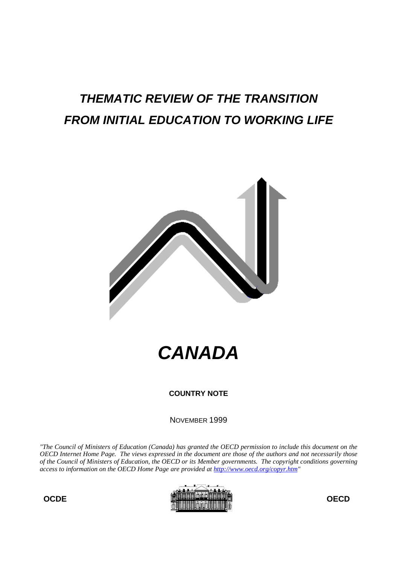# **THEMATIC REVIEW OF THE TRANSITION FROM INITIAL EDUCATION TO WORKING LIFE**



**CANADA**

**COUNTRY NOTE**

NOVEMBER 1999

*"The Council of Ministers of Education (Canada) has granted the OECD permission to include this document on the OECD Internet Home Page. The views expressed in the document are those of the authors and not necessarily those of the Council of Ministers of Education, the OECD or its Member governments. The copyright conditions governing access to information on the OECD Home Page are provided at http://www.oecd.org/copyr.htm"*



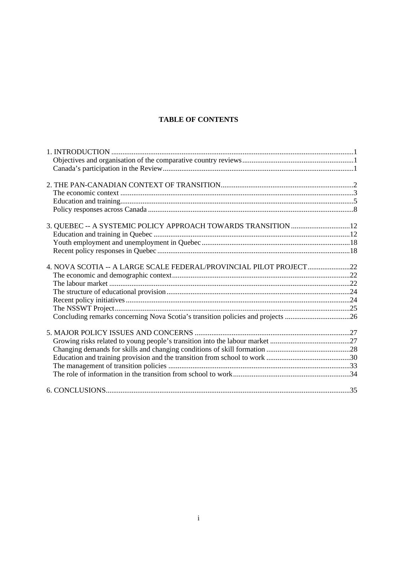# **TABLE OF CONTENTS**

| 4. NOVA SCOTIA -- A LARGE SCALE FEDERAL/PROVINCIAL PILOT PROJECT22              |  |
|---------------------------------------------------------------------------------|--|
|                                                                                 |  |
|                                                                                 |  |
|                                                                                 |  |
|                                                                                 |  |
|                                                                                 |  |
| Concluding remarks concerning Nova Scotia's transition policies and projects 26 |  |
|                                                                                 |  |
|                                                                                 |  |
|                                                                                 |  |
|                                                                                 |  |
|                                                                                 |  |
|                                                                                 |  |
|                                                                                 |  |
|                                                                                 |  |
|                                                                                 |  |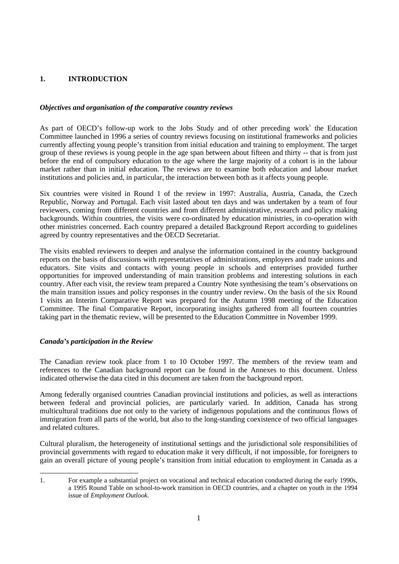# **1. INTRODUCTION**

## *Objectives and organisation of the comparative country reviews*

As part of OECD's follow-up work to the Jobs Study and of other preceding work<sup>1</sup> the Education Committee launched in 1996 a series of country reviews focusing on institutional frameworks and policies currently affecting young people's transition from initial education and training to employment. The target group of these reviews is young people in the age span between about fifteen and thirty -- that is from just before the end of compulsory education to the age where the large majority of a cohort is in the labour market rather than in initial education. The reviews are to examine both education and labour market institutions and policies and, in particular, the interaction between both as it affects young people.

Six countries were visited in Round 1 of the review in 1997: Australia, Austria, Canada, the Czech Republic, Norway and Portugal. Each visit lasted about ten days and was undertaken by a team of four reviewers, coming from different countries and from different administrative, research and policy making backgrounds. Within countries, the visits were co-ordinated by education ministries, in co-operation with other ministries concerned. Each country prepared a detailed Background Report according to guidelines agreed by country representatives and the OECD Secretariat.

The visits enabled reviewers to deepen and analyse the information contained in the country background reports on the basis of discussions with representatives of administrations, employers and trade unions and educators. Site visits and contacts with young people in schools and enterprises provided further opportunities for improved understanding of main transition problems and interesting solutions in each country. After each visit, the review team prepared a Country Note synthesising the team's observations on the main transition issues and policy responses in the country under review. On the basis of the six Round 1 visits an Interim Comparative Report was prepared for the Autumn 1998 meeting of the Education Committee. The final Comparative Report, incorporating insights gathered from all fourteen countries taking part in the thematic review, will be presented to the Education Committee in November 1999.

## *Canada's participation in the Review*

The Canadian review took place from 1 to 10 October 1997. The members of the review team and references to the Canadian background report can be found in the Annexes to this document. Unless indicated otherwise the data cited in this document are taken from the background report.

Among federally organised countries Canadian provincial institutions and policies, as well as interactions between federal and provincial policies, are particularly varied. In addition, Canada has strong multicultural traditions due not only to the variety of indigenous populations and the continuous flows of immigration from all parts of the world, but also to the long-standing coexistence of two official languages and related cultures.

Cultural pluralism, the heterogeneity of institutional settings and the jurisdictional sole responsibilities of provincial governments with regard to education make it very difficult, if not impossible, for foreigners to gain an overall picture of young people's transition from initial education to employment in Canada as a

<sup>1.</sup> For example a substantial project on vocational and technical education conducted during the early 1990s, a 1995 Round Table on school-to-work transition in OECD countries, and a chapter on youth in the 1994 issue of *Employment Outlook*.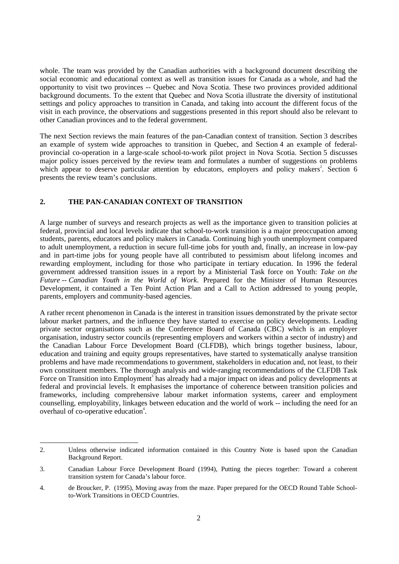whole. The team was provided by the Canadian authorities with a background document describing the social economic and educational context as well as transition issues for Canada as a whole, and had the opportunity to visit two provinces -- Quebec and Nova Scotia. These two provinces provided additional background documents. To the extent that Quebec and Nova Scotia illustrate the diversity of institutional settings and policy approaches to transition in Canada, and taking into account the different focus of the visit in each province, the observations and suggestions presented in this report should also be relevant to other Canadian provinces and to the federal government.

The next Section reviews the main features of the pan-Canadian context of transition. Section 3 describes an example of system wide approaches to transition in Quebec, and Section 4 an example of federalprovincial co-operation in a large-scale school-to-work pilot project in Nova Scotia. Section 5 discusses major policy issues perceived by the review team and formulates a number of suggestions on problems which appear to deserve particular attention by educators, employers and policy makers<sup>2</sup>. Section 6 presents the review team's conclusions.

## **2. THE PAN-CANADIAN CONTEXT OF TRANSITION**

A large number of surveys and research projects as well as the importance given to transition policies at federal, provincial and local levels indicate that school-to-work transition is a major preoccupation among students, parents, educators and policy makers in Canada. Continuing high youth unemployment compared to adult unemployment, a reduction in secure full-time jobs for youth and, finally, an increase in low-pay and in part-time jobs for young people have all contributed to pessimism about lifelong incomes and rewarding employment, including for those who participate in tertiary education. In 1996 the federal government addressed transition issues in a report by a Ministerial Task force on Youth: *Take on the Future -- Canadian Youth in the World of Work*. Prepared for the Minister of Human Resources Development, it contained a Ten Point Action Plan and a Call to Action addressed to young people, parents, employers and community-based agencies.

A rather recent phenomenon in Canada is the interest in transition issues demonstrated by the private sector labour market partners, and the influence they have started to exercise on policy developments. Leading private sector organisations such as the Conference Board of Canada (CBC) which is an employer organisation, industry sector councils (representing employers and workers within a sector of industry) and the Canadian Labour Force Development Board (CLFDB), which brings together business, labour, education and training and equity groups representatives, have started to systematically analyse transition problems and have made recommendations to government, stakeholders in education and, not least, to their own constituent members. The thorough analysis and wide-ranging recommendations of the CLFDB Task Force on Transition into Employment<sup>3</sup> has already had a major impact on ideas and policy developments at federal and provincial levels. It emphasises the importance of coherence between transition policies and frameworks, including comprehensive labour market information systems, career and employment counselling, employability, linkages between education and the world of work -- including the need for an overhaul of co-operative education<sup>4</sup>.

<sup>2.</sup> Unless otherwise indicated information contained in this Country Note is based upon the Canadian Background Report.

<sup>3.</sup> Canadian Labour Force Development Board (1994), Putting the pieces together: Toward a coherent transition system for Canada's labour force.

<sup>4.</sup> de Broucker, P. (1995), Moving away from the maze. Paper prepared for the OECD Round Table Schoolto-Work Transitions in OECD Countries.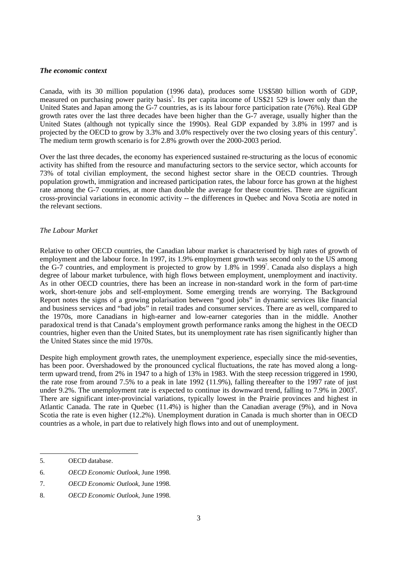#### *The economic context*

Canada, with its 30 million population (1996 data), produces some US\$580 billion worth of GDP, measured on purchasing power parity basis<sup>5</sup>. Its per capita income of US\$21 529 is lower only than the United States and Japan among the G-7 countries, as is its labour force participation rate (76%). Real GDP growth rates over the last three decades have been higher than the G-7 average, usually higher than the United States (although not typically since the 1990s). Real GDP expanded by 3.8% in 1997 and is projected by the OECD to grow by 3.3% and 3.0% respectively over the two closing years of this century<sup>6</sup>. The medium term growth scenario is for 2.8% growth over the 2000-2003 period.

Over the last three decades, the economy has experienced sustained re-structuring as the locus of economic activity has shifted from the resource and manufacturing sectors to the service sector, which accounts for 73% of total civilian employment, the second highest sector share in the OECD countries. Through population growth, immigration and increased participation rates, the labour force has grown at the highest rate among the G-7 countries, at more than double the average for these countries. There are significant cross-provincial variations in economic activity -- the differences in Quebec and Nova Scotia are noted in the relevant sections.

#### *The Labour Market*

Relative to other OECD countries, the Canadian labour market is characterised by high rates of growth of employment and the labour force. In 1997, its 1.9% employment growth was second only to the US among the G-7 countries, and employment is projected to grow by 1.8% in 1999<sup>7</sup>. Canada also displays a high degree of labour market turbulence, with high flows between employment, unemployment and inactivity. As in other OECD countries, there has been an increase in non-standard work in the form of part-time work, short-tenure jobs and self-employment. Some emerging trends are worrying. The Background Report notes the signs of a growing polarisation between "good jobs" in dynamic services like financial and business services and "bad jobs" in retail trades and consumer services. There are as well, compared to the 1970s, more Canadians in high-earner and low-earner categories than in the middle. Another paradoxical trend is that Canada's employment growth performance ranks among the highest in the OECD countries, higher even than the United States, but its unemployment rate has risen significantly higher than the United States since the mid 1970s.

Despite high employment growth rates, the unemployment experience, especially since the mid-seventies, has been poor. Overshadowed by the pronounced cyclical fluctuations, the rate has moved along a longterm upward trend, from 2% in 1947 to a high of 13% in 1983. With the steep recession triggered in 1990, the rate rose from around 7.5% to a peak in late 1992 (11.9%), falling thereafter to the 1997 rate of just under 9.2%. The unemployment rate is expected to continue its downward trend, falling to 7.9% in 2003<sup>8</sup>. There are significant inter-provincial variations, typically lowest in the Prairie provinces and highest in Atlantic Canada. The rate in Quebec (11.4%) is higher than the Canadian average (9%), and in Nova Scotia the rate is even higher (12.2%). Unemployment duration in Canada is much shorter than in OECD countries as a whole, in part due to relatively high flows into and out of unemployment.

<sup>5.</sup> OECD database.

<sup>6.</sup> *OECD Economic Outlook*, June 1998.

<sup>7.</sup> *OECD Economic Outlook*, June 1998.

<sup>8.</sup> *OECD Economic Outlook*, June 1998.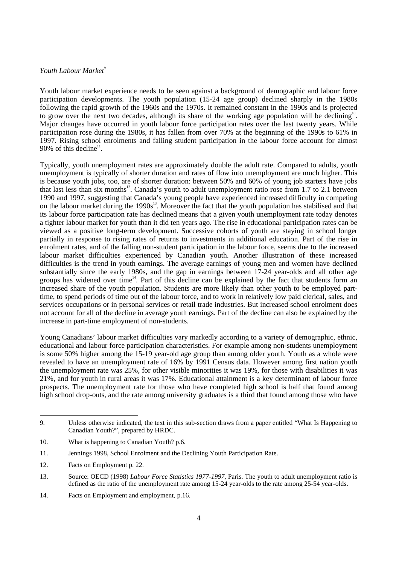# *Youth Labour Market<sup>9</sup>*

Youth labour market experience needs to be seen against a background of demographic and labour force participation developments. The youth population (15-24 age group) declined sharply in the 1980s following the rapid growth of the 1960s and the 1970s. It remained constant in the 1990s and is projected to grow over the next two decades, although its share of the working age population will be declining<sup>10</sup>. Major changes have occurred in youth labour force participation rates over the last twenty years. While participation rose during the 1980s, it has fallen from over 70% at the beginning of the 1990s to 61% in 1997. Rising school enrolments and falling student participation in the labour force account for almost 90% of this decline<sup>11</sup>.

Typically, youth unemployment rates are approximately double the adult rate. Compared to adults, youth unemployment is typically of shorter duration and rates of flow into unemployment are much higher. This is because youth jobs, too, are of shorter duration: between 50% and 60% of young job starters have jobs that last less than six months<sup>12</sup>. Canada's youth to adult unemployment ratio rose from 1.7 to 2.1 between 1990 and 1997, suggesting that Canada's young people have experienced increased difficulty in competing on the labour market during the 1990s<sup>13</sup>. Moreover the fact that the youth population has stabilised and that its labour force participation rate has declined means that a given youth unemployment rate today denotes a tighter labour market for youth than it did ten years ago. The rise in educational participation rates can be viewed as a positive long-term development. Successive cohorts of youth are staying in school longer partially in response to rising rates of returns to investments in additional education. Part of the rise in enrolment rates, and of the falling non-student participation in the labour force, seems due to the increased labour market difficulties experienced by Canadian youth. Another illustration of these increased difficulties is the trend in youth earnings. The average earnings of young men and women have declined substantially since the early 1980s, and the gap in earnings between 17-24 year-olds and all other age groups has widened over time<sup>14</sup>. Part of this decline can be explained by the fact that students form an increased share of the youth population. Students are more likely than other youth to be employed parttime, to spend periods of time out of the labour force, and to work in relatively low paid clerical, sales, and services occupations or in personal services or retail trade industries. But increased school enrolment does not account for all of the decline in average youth earnings. Part of the decline can also be explained by the increase in part-time employment of non-students.

Young Canadians' labour market difficulties vary markedly according to a variety of demographic, ethnic, educational and labour force participation characteristics. For example among non-students unemployment is some 50% higher among the 15-19 year-old age group than among older youth. Youth as a whole were revealed to have an unemployment rate of 16% by 1991 Census data. However among first nation youth the unemployment rate was 25%, for other visible minorities it was 19%, for those with disabilities it was 21%, and for youth in rural areas it was 17%. Educational attainment is a key determinant of labour force prospects. The unemployment rate for those who have completed high school is half that found among high school drop-outs, and the rate among university graduates is a third that found among those who have

<sup>9.</sup> Unless otherwise indicated, the text in this sub-section draws from a paper entitled "What Is Happening to Canadian Youth?", prepared by HRDC.

<sup>10.</sup> What is happening to Canadian Youth? p.6.

<sup>11.</sup> Jennings 1998, School Enrolment and the Declining Youth Participation Rate.

<sup>12.</sup> Facts on Employment p. 22.

<sup>13.</sup> Source: OECD (1998) *Labour Force Statistics 1977-1997*, Paris. The youth to adult unemployment ratio is defined as the ratio of the unemployment rate among 15-24 year-olds to the rate among 25-54 year-olds.

<sup>14.</sup> Facts on Employment and employment, p.16.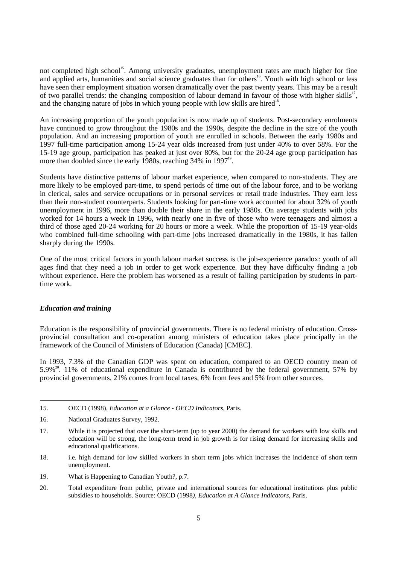not completed high school<sup>15</sup>. Among university graduates, unemployment rates are much higher for fine and applied arts, humanities and social science graduates than for others<sup>16</sup>. Youth with high school or less have seen their employment situation worsen dramatically over the past twenty years. This may be a result of two parallel trends: the changing composition of labour demand in favour of those with higher skills<sup>17</sup>, and the changing nature of jobs in which young people with low skills are hired<sup>18</sup>.

An increasing proportion of the youth population is now made up of students. Post-secondary enrolments have continued to grow throughout the 1980s and the 1990s, despite the decline in the size of the youth population. And an increasing proportion of youth are enrolled in schools. Between the early 1980s and 1997 full-time participation among 15-24 year olds increased from just under 40% to over 58%. For the 15-19 age group, participation has peaked at just over 80%, but for the 20-24 age group participation has more than doubled since the early 1980s, reaching 34% in 1997<sup>19</sup>.

Students have distinctive patterns of labour market experience, when compared to non-students. They are more likely to be employed part-time, to spend periods of time out of the labour force, and to be working in clerical, sales and service occupations or in personal services or retail trade industries. They earn less than their non-student counterparts. Students looking for part-time work accounted for about 32% of youth unemployment in 1996, more than double their share in the early 1980s. On average students with jobs worked for 14 hours a week in 1996, with nearly one in five of those who were teenagers and almost a third of those aged 20-24 working for 20 hours or more a week. While the proportion of 15-19 year-olds who combined full-time schooling with part-time jobs increased dramatically in the 1980s, it has fallen sharply during the 1990s.

One of the most critical factors in youth labour market success is the job-experience paradox: youth of all ages find that they need a job in order to get work experience. But they have difficulty finding a job without experience. Here the problem has worsened as a result of falling participation by students in parttime work.

### *Education and training*

Education is the responsibility of provincial governments. There is no federal ministry of education. Crossprovincial consultation and co-operation among ministers of education takes place principally in the framework of the Council of Ministers of Education (Canada) [CMEC].

In 1993, 7.3% of the Canadian GDP was spent on education, compared to an OECD country mean of  $5.9\%$ <sup>20</sup>. 11% of educational expenditure in Canada is contributed by the federal government, 57% by provincial governments, 21% comes from local taxes, 6% from fees and 5% from other sources.

- 18. i.e. high demand for low skilled workers in short term jobs which increases the incidence of short term unemployment.
- 19. What is Happening to Canadian Youth?, p.7.
- 20. Total expenditure from public, private and international sources for educational institutions plus public subsidies to households. Source: OECD (1998*), Education at A Glance Indicators,* Paris.

<sup>15.</sup> OECD (1998), *Education at a Glance - OECD Indicators*, Paris.

<sup>16.</sup> National Graduates Survey, 1992.

<sup>17.</sup> While it is projected that over the short-term (up to year 2000) the demand for workers with low skills and education will be strong, the long-term trend in job growth is for rising demand for increasing skills and educational qualifications.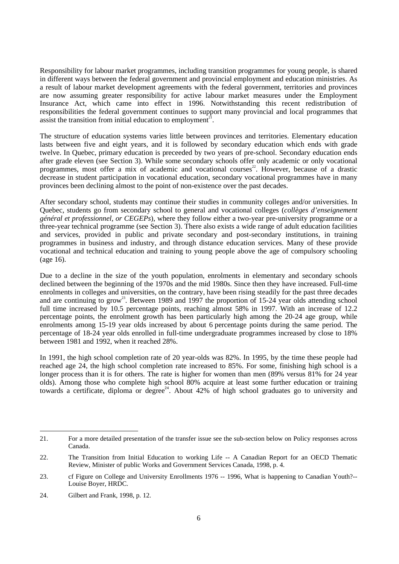Responsibility for labour market programmes, including transition programmes for young people, is shared in different ways between the federal government and provincial employment and education ministries. As a result of labour market development agreements with the federal government, territories and provinces are now assuming greater responsibility for active labour market measures under the Employment Insurance Act, which came into effect in 1996. Notwithstanding this recent redistribution of responsibilities the federal government continues to support many provincial and local programmes that assist the transition from initial education to employment<sup>21</sup>.

The structure of education systems varies little between provinces and territories. Elementary education lasts between five and eight years, and it is followed by secondary education which ends with grade twelve. In Quebec, primary education is preceeded by two years of pre-school. Secondary education ends after grade eleven (see Section 3). While some secondary schools offer only academic or only vocational programmes, most offer a mix of academic and vocational courses<sup>22</sup>. However, because of a drastic decrease in student participation in vocational education, secondary vocational programmes have in many provinces been declining almost to the point of non-existence over the past decades.

After secondary school, students may continue their studies in community colleges and/or universities. In Quebec, students go from secondary school to general and vocational colleges (*collèges d'enseignement général et professionnel, or CEGEPs*), where they follow either a two-year pre-university programme or a three-year technical programme (see Section 3). There also exists a wide range of adult education facilities and services, provided in public and private secondary and post-secondary institutions, in training programmes in business and industry, and through distance education services. Many of these provide vocational and technical education and training to young people above the age of compulsory schooling (age 16).

Due to a decline in the size of the youth population, enrolments in elementary and secondary schools declined between the beginning of the 1970s and the mid 1980s. Since then they have increased. Full-time enrolments in colleges and universities, on the contrary, have been rising steadily for the past three decades and are continuing to grow<sup>23</sup>. Between 1989 and 1997 the proportion of 15-24 year olds attending school full time increased by 10.5 percentage points, reaching almost 58% in 1997. With an increase of 12.2 percentage points, the enrolment growth has been particularly high among the 20-24 age group, while enrolments among 15-19 year olds increased by about 6 percentage points during the same period. The percentage of 18-24 year olds enrolled in full-time undergraduate programmes increased by close to 18% between 1981 and 1992, when it reached 28%.

In 1991, the high school completion rate of 20 year-olds was 82%. In 1995, by the time these people had reached age 24, the high school completion rate increased to 85%. For some, finishing high school is a longer process than it is for others. The rate is higher for women than men (89% versus 81% for 24 year olds). Among those who complete high school 80% acquire at least some further education or training towards a certificate, diploma or degree<sup>24</sup>. About  $42\%$  of high school graduates go to university and

<sup>21.</sup> For a more detailed presentation of the transfer issue see the sub-section below on Policy responses across Canada.

<sup>22.</sup> The Transition from Initial Education to working Life -- A Canadian Report for an OECD Thematic Review, Minister of public Works and Government Services Canada, 1998, p. 4.

<sup>23.</sup> cf Figure on College and University Enrollments 1976 -- 1996, What is happening to Canadian Youth?-- Louise Boyer, HRDC.

<sup>24.</sup> Gilbert and Frank, 1998, p. 12.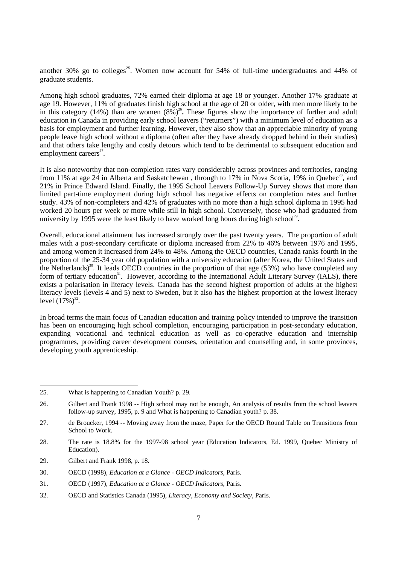another 30% go to colleges<sup>25</sup>. Women now account for 54% of full-time undergraduates and 44% of graduate students.

Among high school graduates, 72% earned their diploma at age 18 or younger. Another 17% graduate at age 19. However, 11% of graduates finish high school at the age of 20 or older, with men more likely to be in this category (14%) than are women  $(8\%)^{26}$ . These figures show the importance of further and adult education in Canada in providing early school leavers ("returners") with a minimum level of education as a basis for employment and further learning. However, they also show that an appreciable minority of young people leave high school without a diploma (often after they have already dropped behind in their studies) and that others take lengthy and costly detours which tend to be detrimental to subsequent education and employment careers $27$ .

It is also noteworthy that non-completion rates vary considerably across provinces and territories, ranging from 11% at age 24 in Alberta and Saskatchewan, through to 17% in Nova Scotia, 19% in Quebec<sup>28</sup>, and 21% in Prince Edward Island. Finally, the 1995 School Leavers Follow-Up Survey shows that more than limited part-time employment during high school has negative effects on completion rates and further study. 43% of non-completers and 42% of graduates with no more than a high school diploma in 1995 had worked 20 hours per week or more while still in high school. Conversely, those who had graduated from university by 1995 were the least likely to have worked long hours during high school<sup>29</sup>.

Overall, educational attainment has increased strongly over the past twenty years. The proportion of adult males with a post-secondary certificate or diploma increased from 22% to 46% between 1976 and 1995, and among women it increased from 24% to 48%. Among the OECD countries, Canada ranks fourth in the proportion of the 25-34 year old population with a university education (after Korea, the United States and the Netherlands)<sup>30</sup>. It leads OECD countries in the proportion of that age (53%) who have completed any form of tertiary education<sup>31</sup>. However, according to the International Adult Literary Survey (IALS), there exists a polarisation in literacy levels. Canada has the second highest proportion of adults at the highest literacy levels (levels 4 and 5) next to Sweden, but it also has the highest proportion at the lowest literacy level  $(17%)^{32}$ .

In broad terms the main focus of Canadian education and training policy intended to improve the transition has been on encouraging high school completion, encouraging participation in post-secondary education, expanding vocational and technical education as well as co-operative education and internship programmes, providing career development courses, orientation and counselling and, in some provinces, developing youth apprenticeship.

29. Gilbert and Frank 1998, p. 18.

<sup>25.</sup> What is happening to Canadian Youth? p. 29.

<sup>26.</sup> Gilbert and Frank 1998 -- High school may not be enough, An analysis of results from the school leavers follow-up survey, 1995, p. 9 and What is happening to Canadian youth? p. 38.

<sup>27.</sup> de Broucker, 1994 -- Moving away from the maze, Paper for the OECD Round Table on Transitions from School to Work.

<sup>28.</sup> The rate is 18.8% for the 1997-98 school year (Education Indicators, Ed. 1999, Quebec Ministry of Education).

<sup>30.</sup> OECD (1998), *Education at a Glance - OECD Indicators*, Paris.

<sup>31.</sup> OECD (1997), *Education at a Glance - OECD Indicators*, Paris.

<sup>32.</sup> OECD and Statistics Canada (1995), *Literacy, Economy and Society*, Paris.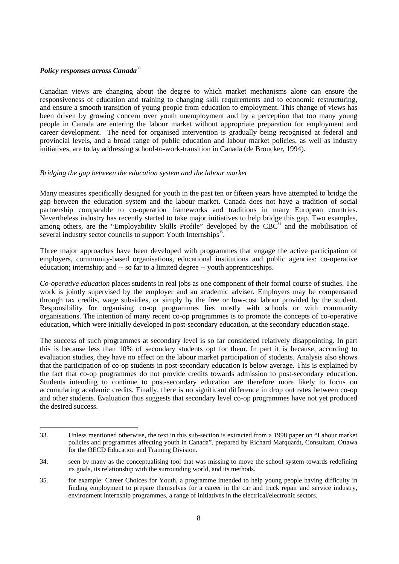# *Policy responses across Canada*<sup>33</sup>

Canadian views are changing about the degree to which market mechanisms alone can ensure the responsiveness of education and training to changing skill requirements and to economic restructuring, and ensure a smooth transition of young people from education to employment. This change of views has been driven by growing concern over youth unemployment and by a perception that too many young people in Canada are entering the labour market without appropriate preparation for employment and career development. The need for organised intervention is gradually being recognised at federal and provincial levels, and a broad range of public education and labour market policies, as well as industry initiatives, are today addressing school-to-work-transition in Canada (de Broucker, 1994).

### *Bridging the gap between the education system and the labour market*

Many measures specifically designed for youth in the past ten or fifteen years have attempted to bridge the gap between the education system and the labour market. Canada does not have a tradition of social partnership comparable to co-operation frameworks and traditions in many European countries. Nevertheless industry has recently started to take major initiatives to help bridge this gap. Two examples, among others, are the "Employability Skills Profile" developed by the  $CBC<sup>34</sup>$  and the mobilisation of several industry sector councils to support Youth Internships<sup>35</sup>.

Three major approaches have been developed with programmes that engage the active participation of employers, community-based organisations, educational institutions and public agencies: co-operative education; internship; and -- so far to a limited degree -- youth apprenticeships.

*Co-operative education* places students in real jobs as one component of their formal course of studies. The work is jointly supervised by the employer and an academic adviser. Employers may be compensated through tax credits, wage subsidies, or simply by the free or low-cost labour provided by the student. Responsibility for organising co-op programmes lies mostly with schools or with community organisations. The intention of many recent co-op programmes is to promote the concepts of co-operative education, which were initially developed in post-secondary education, at the secondary education stage.

The success of such programmes at secondary level is so far considered relatively disappointing. In part this is because less than 10% of secondary students opt for them. In part it is because, according to evaluation studies, they have no effect on the labour market participation of students. Analysis also shows that the participation of co-op students in post-secondary education is below average. This is explained by the fact that co-op programmes do not provide credits towards admission to post-secondary education. Students intending to continue to post-secondary education are therefore more likely to focus on accumulating academic credits. Finally, there is no significant difference in drop out rates between co-op and other students. Evaluation thus suggests that secondary level co-op programmes have not yet produced the desired success.

<sup>33.</sup> Unless mentioned otherwise, the text in this sub-section is extracted from a 1998 paper on "Labour market policies and programmes affecting youth in Canada", prepared by Richard Marquardt, Consultant, Ottawa for the OECD Education and Training Division.

<sup>34.</sup> seen by many as the conceptualising tool that was missing to move the school system towards redefining its goals, its relationship with the surrounding world, and its methods.

<sup>35.</sup> for example: Career Choices for Youth, a programme intended to help young people having difficulty in finding employment to prepare themselves for a career in the car and truck repair and service industry, environment internship programmes, a range of initiatives in the electrical/electronic sectors.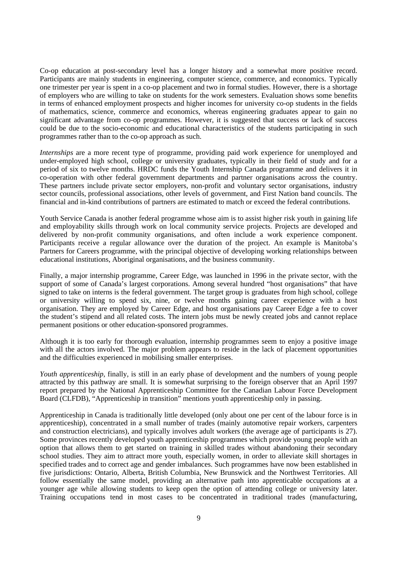Co-op education at post-secondary level has a longer history and a somewhat more positive record. Participants are mainly students in engineering, computer science, commerce, and economics. Typically one trimester per year is spent in a co-op placement and two in formal studies. However, there is a shortage of employers who are willing to take on students for the work semesters. Evaluation shows some benefits in terms of enhanced employment prospects and higher incomes for university co-op students in the fields of mathematics, science, commerce and economics, whereas engineering graduates appear to gain no significant advantage from co-op programmes. However, it is suggested that success or lack of success could be due to the socio-economic and educational characteristics of the students participating in such programmes rather than to the co-op approach as such.

*Internships* are a more recent type of programme, providing paid work experience for unemployed and under-employed high school, college or university graduates, typically in their field of study and for a period of six to twelve months. HRDC funds the Youth Internship Canada programme and delivers it in co-operation with other federal government departments and partner organisations across the country. These partners include private sector employers, non-profit and voluntary sector organisations, industry sector councils, professional associations, other levels of government, and First Nation band councils. The financial and in-kind contributions of partners are estimated to match or exceed the federal contributions.

Youth Service Canada is another federal programme whose aim is to assist higher risk youth in gaining life and employability skills through work on local community service projects. Projects are developed and delivered by non-profit community organisations, and often include a work experience component. Participants receive a regular allowance over the duration of the project. An example is Manitoba's Partners for Careers programme, with the principal objective of developing working relationships between educational institutions, Aboriginal organisations, and the business community.

Finally, a major internship programme, Career Edge, was launched in 1996 in the private sector, with the support of some of Canada's largest corporations. Among several hundred "host organisations" that have signed to take on interns is the federal government. The target group is graduates from high school, college or university willing to spend six, nine, or twelve months gaining career experience with a host organisation. They are employed by Career Edge, and host organisations pay Career Edge a fee to cover the student's stipend and all related costs. The intern jobs must be newly created jobs and cannot replace permanent positions or other education-sponsored programmes.

Although it is too early for thorough evaluation, internship programmes seem to enjoy a positive image with all the actors involved. The major problem appears to reside in the lack of placement opportunities and the difficulties experienced in mobilising smaller enterprises.

*Youth apprenticeship*, finally, is still in an early phase of development and the numbers of young people attracted by this pathway are small. It is somewhat surprising to the foreign observer that an April 1997 report prepared by the National Apprenticeship Committee for the Canadian Labour Force Development Board (CLFDB), "Apprenticeship in transition" mentions youth apprenticeship only in passing.

Apprenticeship in Canada is traditionally little developed (only about one per cent of the labour force is in apprenticeship), concentrated in a small number of trades (mainly automotive repair workers, carpenters and construction electricians), and typically involves adult workers (the average age of participants is 27). Some provinces recently developed youth apprenticeship programmes which provide young people with an option that allows them to get started on training in skilled trades without abandoning their secondary school studies. They aim to attract more youth, especially women, in order to alleviate skill shortages in specified trades and to correct age and gender imbalances. Such programmes have now been established in five jurisdictions: Ontario, Alberta, British Columbia, New Brunswick and the Northwest Territories. All follow essentially the same model, providing an alternative path into apprenticable occupations at a younger age while allowing students to keep open the option of attending college or university later. Training occupations tend in most cases to be concentrated in traditional trades (manufacturing,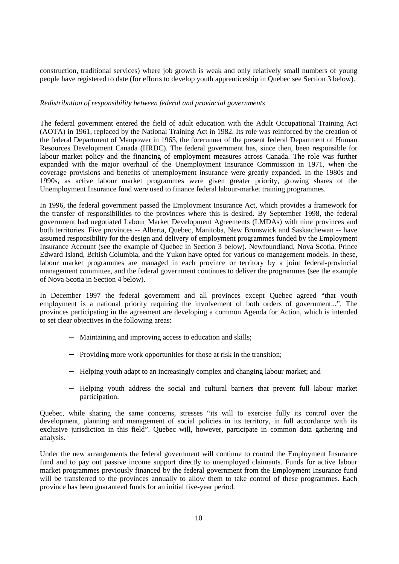construction, traditional services) where job growth is weak and only relatively small numbers of young people have registered to date (for efforts to develop youth apprenticeship in Quebec see Section 3 below).

## *Redistribution of responsibility between federal and provincial governments*

The federal government entered the field of adult education with the Adult Occupational Training Act (AOTA) in 1961, replaced by the National Training Act in 1982. Its role was reinforced by the creation of the federal Department of Manpower in 1965, the forerunner of the present federal Department of Human Resources Development Canada (HRDC). The federal government has, since then, been responsible for labour market policy and the financing of employment measures across Canada. The role was further expanded with the major overhaul of the Unemployment Insurance Commission in 1971, when the coverage provisions and benefits of unemployment insurance were greatly expanded. In the 1980s and 1990s, as active labour market programmes were given greater priority, growing shares of the Unemployment Insurance fund were used to finance federal labour-market training programmes.

In 1996, the federal government passed the Employment Insurance Act, which provides a framework for the transfer of responsibilities to the provinces where this is desired. By September 1998, the federal government had negotiated Labour Market Development Agreements (LMDAs) with nine provinces and both territories. Five provinces -- Alberta, Quebec, Manitoba, New Brunswick and Saskatchewan -- have assumed responsibility for the design and delivery of employment programmes funded by the Employment Insurance Account (see the example of Quebec in Section 3 below). Newfoundland, Nova Scotia, Prince Edward Island, British Columbia, and the Yukon have opted for various co-management models. In these, labour market programmes are managed in each province or territory by a joint federal-provincial management committee, and the federal government continues to deliver the programmes (see the example of Nova Scotia in Section 4 below).

In December 1997 the federal government and all provinces except Quebec agreed "that youth employment is a national priority requiring the involvement of both orders of government...". The provinces participating in the agreement are developing a common Agenda for Action, which is intended to set clear objectives in the following areas:

- − Maintaining and improving access to education and skills;
- − Providing more work opportunities for those at risk in the transition;
- − Helping youth adapt to an increasingly complex and changing labour market; and
- − Helping youth address the social and cultural barriers that prevent full labour market participation.

Quebec, while sharing the same concerns, stresses "its will to exercise fully its control over the development, planning and management of social policies in its territory, in full accordance with its exclusive jurisdiction in this field". Quebec will, however, participate in common data gathering and analysis.

Under the new arrangements the federal government will continue to control the Employment Insurance fund and to pay out passive income support directly to unemployed claimants. Funds for active labour market programmes previously financed by the federal government from the Employment Insurance fund will be transferred to the provinces annually to allow them to take control of these programmes. Each province has been guaranteed funds for an initial five-year period.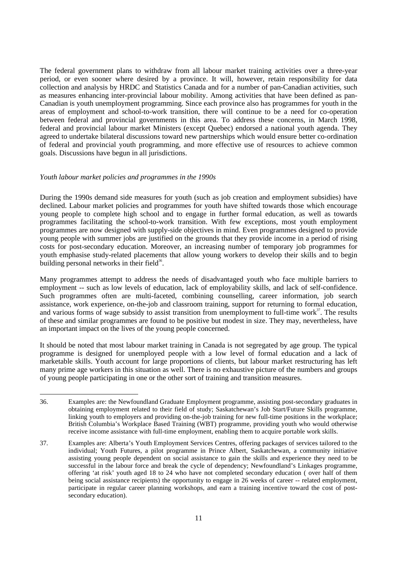The federal government plans to withdraw from all labour market training activities over a three-year period, or even sooner where desired by a province. It will, however, retain responsibility for data collection and analysis by HRDC and Statistics Canada and for a number of pan-Canadian activities, such as measures enhancing inter-provincial labour mobility. Among activities that have been defined as pan-Canadian is youth unemployment programming. Since each province also has programmes for youth in the areas of employment and school-to-work transition, there will continue to be a need for co-operation between federal and provincial governments in this area. To address these concerns, in March 1998, federal and provincial labour market Ministers (except Quebec) endorsed a national youth agenda. They agreed to undertake bilateral discussions toward new partnerships which would ensure better co-ordination of federal and provincial youth programming, and more effective use of resources to achieve common goals. Discussions have begun in all jurisdictions.

### *Youth labour market policies and programmes in the 1990s*

During the 1990s demand side measures for youth (such as job creation and employment subsidies) have declined. Labour market policies and programmes for youth have shifted towards those which encourage young people to complete high school and to engage in further formal education, as well as towards programmes facilitating the school-to-work transition. With few exceptions, most youth employment programmes are now designed with supply-side objectives in mind. Even programmes designed to provide young people with summer jobs are justified on the grounds that they provide income in a period of rising costs for post-secondary education. Moreover, an increasing number of temporary job programmes for youth emphasise study-related placements that allow young workers to develop their skills and to begin building personal networks in their field $36$ .

Many programmes attempt to address the needs of disadvantaged youth who face multiple barriers to employment -- such as low levels of education, lack of employability skills, and lack of self-confidence. Such programmes often are multi-faceted, combining counselling, career information, job search assistance, work experience, on-the-job and classroom training, support for returning to formal education, and various forms of wage subsidy to assist transition from unemployment to full-time work $37$ . The results of these and similar programmes are found to be positive but modest in size. They may, nevertheless, have an important impact on the lives of the young people concerned.

It should be noted that most labour market training in Canada is not segregated by age group. The typical programme is designed for unemployed people with a low level of formal education and a lack of marketable skills. Youth account for large proportions of clients, but labour market restructuring has left many prime age workers in this situation as well. There is no exhaustive picture of the numbers and groups of young people participating in one or the other sort of training and transition measures.

<sup>36.</sup> Examples are: the Newfoundland Graduate Employment programme, assisting post-secondary graduates in obtaining employment related to their field of study; Saskatchewan's Job Start/Future Skills programme, linking youth to employers and providing on-the-job training for new full-time positions in the workplace; British Columbia's Workplace Based Training (WBT) programme, providing youth who would otherwise receive income assistance with full-time employment, enabling them to acquire portable work skills.

<sup>37.</sup> Examples are: Alberta's Youth Employment Services Centres, offering packages of services tailored to the individual; Youth Futures, a pilot programme in Prince Albert, Saskatchewan, a community initiative assisting young people dependent on social assistance to gain the skills and experience they need to be successful in the labour force and break the cycle of dependency; Newfoundland's Linkages programme, offering 'at risk' youth aged 18 to 24 who have not completed secondary education ( over half of them being social assistance recipients) the opportunity to engage in 26 weeks of career -- related employment, participate in regular career planning workshops, and earn a training incentive toward the cost of postsecondary education).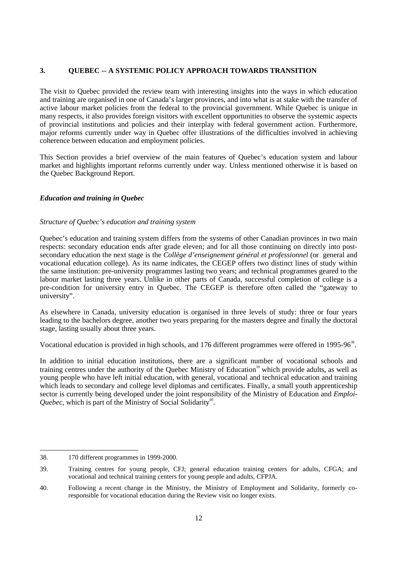# **3. QUEBEC -- A SYSTEMIC POLICY APPROACH TOWARDS TRANSITION**

The visit to Quebec provided the review team with interesting insights into the ways in which education and training are organised in one of Canada's larger provinces, and into what is at stake with the transfer of active labour market policies from the federal to the provincial government. While Quebec is unique in many respects, it also provides foreign visitors with excellent opportunities to observe the systemic aspects of provincial institutions and policies and their interplay with federal government action. Furthermore, major reforms currently under way in Quebec offer illustrations of the difficulties involved in achieving coherence between education and employment policies.

This Section provides a brief overview of the main features of Quebec's education system and labour market and highlights important reforms currently under way. Unless mentioned otherwise it is based on the Quebec Background Report.

## *Education and training in Quebec*

### *Structure of Quebec's education and training system*

Quebec's education and training system differs from the systems of other Canadian provinces in two main respects: secondary education ends after grade eleven; and for all those continuing on directly into postsecondary education the next stage is the *Collège d'enseignement général et professionnel* (or general and vocational education college). As its name indicates, the CEGEP offers two distinct lines of study within the same institution: pre-university programmes lasting two years; and technical programmes geared to the labour market lasting three years. Unlike in other parts of Canada, successful completion of college is a pre-condition for university entry in Quebec. The CEGEP is therefore often called the "gateway to university".

As elsewhere in Canada, university education is organised in three levels of study: three or four years leading to the bachelors degree, another two years preparing for the masters degree and finally the doctoral stage, lasting usually about three years.

Vocational education is provided in high schools, and 176 different programmes were offered in 1995-96<sup>38</sup>.

In addition to initial education institutions, there are a significant number of vocational schools and training centres under the authority of the Quebec Ministry of Education<sup>39</sup> which provide adults, as well as young people who have left initial education, with general, vocational and technical education and training which leads to secondary and college level diplomas and certificates. Finally, a small youth apprenticeship sector is currently being developed under the joint responsibility of the Ministry of Education and *Emploi-Quebec*, which is part of the Ministry of Social Solidarity<sup>40</sup>.

<sup>38. 170</sup> different programmes in 1999-2000.

<sup>39.</sup> Training centres for young people, CFJ; general education training centers for adults, CFGA; and vocational and technical training centers for young people and adults, CFPJA.

<sup>40.</sup> Following a recent change in the Ministry, the Ministry of Employment and Solidarity, formerly coresponsible for vocational education during the Review visit no longer exists.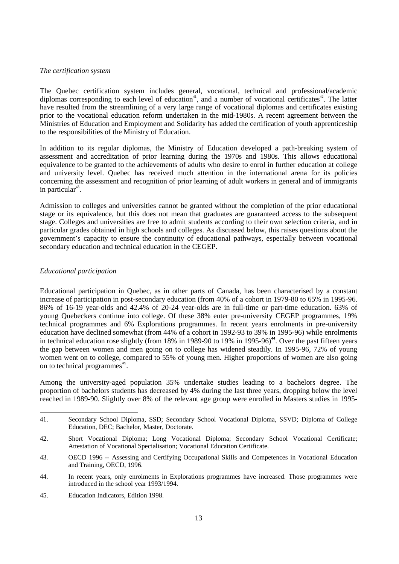#### *The certification system*

The Quebec certification system includes general, vocational, technical and professional/academic diplomas corresponding to each level of education<sup>41</sup>, and a number of vocational certificates<sup>42</sup>. The latter have resulted from the streamlining of a very large range of vocational diplomas and certificates existing prior to the vocational education reform undertaken in the mid-1980s. A recent agreement between the Ministries of Education and Employment and Solidarity has added the certification of youth apprenticeship to the responsibilities of the Ministry of Education.

In addition to its regular diplomas, the Ministry of Education developed a path-breaking system of assessment and accreditation of prior learning during the 1970s and 1980s. This allows educational equivalence to be granted to the achievements of adults who desire to enrol in further education at college and university level. Quebec has received much attention in the international arena for its policies concerning the assessment and recognition of prior learning of adult workers in general and of immigrants in particular<sup>43</sup>.

Admission to colleges and universities cannot be granted without the completion of the prior educational stage or its equivalence, but this does not mean that graduates are guaranteed access to the subsequent stage. Colleges and universities are free to admit students according to their own selection criteria, and in particular grades obtained in high schools and colleges. As discussed below, this raises questions about the government's capacity to ensure the continuity of educational pathways, especially between vocational secondary education and technical education in the CEGEP.

## *Educational participation*

Educational participation in Quebec, as in other parts of Canada, has been characterised by a constant increase of participation in post-secondary education (from 40% of a cohort in 1979-80 to 65% in 1995-96. 86% of 16-19 year-olds and 42.4% of 20-24 year-olds are in full-time or part-time education. 63% of young Quebeckers continue into college. Of these 38% enter pre-university CEGEP programmes, 19% technical programmes and 6% Explorations programmes. In recent years enrolments in pre-university education have declined somewhat (from 44% of a cohort in 1992-93 to 39% in 1995-96) while enrolments in technical education rose slightly (from 18% in 1989-90 to 19% in 1995-96)**<sup>44</sup>**. Over the past fifteen years the gap between women and men going on to college has widened steadily. In 1995-96, 72% of young women went on to college, compared to 55% of young men. Higher proportions of women are also going on to technical programmes<sup>45</sup>.

Among the university-aged population 35% undertake studies leading to a bachelors degree. The proportion of bachelors students has decreased by 4% during the last three years, dropping below the level reached in 1989-90. Slightly over 8% of the relevant age group were enrolled in Masters studies in 1995-

45. Education Indicators, Edition 1998.

<sup>41.</sup> Secondary School Diploma, SSD; Secondary School Vocational Diploma, SSVD; Diploma of College Education, DEC; Bachelor, Master, Doctorate.

<sup>42.</sup> Short Vocational Diploma; Long Vocational Diploma; Secondary School Vocational Certificate; Attestation of Vocational Specialisation; Vocational Education Certificate.

<sup>43.</sup> OECD 1996 -- Assessing and Certifying Occupational Skills and Competences in Vocational Education and Training, OECD, 1996.

<sup>44.</sup> In recent years, only enrolments in Explorations programmes have increased. Those programmes were introduced in the school year 1993/1994.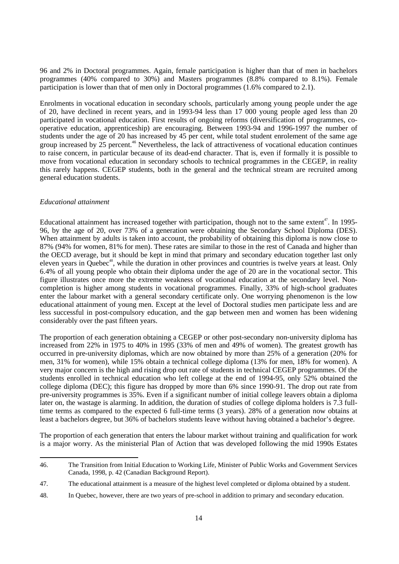96 and 2% in Doctoral programmes. Again, female participation is higher than that of men in bachelors programmes (40% compared to 30%) and Masters programmes (8.8% compared to 8.1%). Female participation is lower than that of men only in Doctoral programmes (1.6% compared to 2.1).

Enrolments in vocational education in secondary schools, particularly among young people under the age of 20, have declined in recent years, and in 1993-94 less than 17 000 young people aged less than 20 participated in vocational education. First results of ongoing reforms (diversification of programmes, cooperative education, apprenticeship) are encouraging. Between 1993-94 and 1996-1997 the number of students under the age of 20 has increased by 45 per cent, while total student enrolement of the same age group increased by  $\tilde{25}$  percent.<sup>46</sup> Nevertheless, the lack of attractiveness of vocational education continues to raise concern, in particular because of its dead-end character. That is, even if formally it is possible to move from vocational education in secondary schools to technical programmes in the CEGEP, in reality this rarely happens. CEGEP students, both in the general and the technical stream are recruited among general education students.

#### *Educational attainment*

Educational attainment has increased together with participation, though not to the same extent<sup>47</sup>. In 1995-96, by the age of 20, over 73% of a generation were obtaining the Secondary School Diploma (DES). When attainment by adults is taken into account, the probability of obtaining this diploma is now close to 87% (94% for women, 81% for men). These rates are similar to those in the rest of Canada and higher than the OECD average, but it should be kept in mind that primary and secondary education together last only eleven years in Quebec<sup>48</sup>, while the duration in other provinces and countries is twelve years at least. Only 6.4% of all young people who obtain their diploma under the age of 20 are in the vocational sector. This figure illustrates once more the extreme weakness of vocational education at the secondary level. Noncompletion is higher among students in vocational programmes. Finally, 33% of high-school graduates enter the labour market with a general secondary certificate only. One worrying phenomenon is the low educational attainment of young men. Except at the level of Doctoral studies men participate less and are less successful in post-compulsory education, and the gap between men and women has been widening considerably over the past fifteen years.

The proportion of each generation obtaining a CEGEP or other post-secondary non-university diploma has increased from 22% in 1975 to 40% in 1995 (33% of men and 49% of women). The greatest growth has occurred in pre-university diplomas, which are now obtained by more than 25% of a generation (20% for men, 31% for women), while 15% obtain a technical college diploma (13% for men, 18% for women). A very major concern is the high and rising drop out rate of students in technical CEGEP programmes. Of the students enrolled in technical education who left college at the end of 1994-95, only 52% obtained the college diploma (DEC); this figure has dropped by more than 6% since 1990-91. The drop out rate from pre-university programmes is 35%. Even if a significant number of initial college leavers obtain a diploma later on, the wastage is alarming. In addition, the duration of studies of college diploma holders is 7.3 fulltime terms as compared to the expected 6 full-time terms (3 years). 28% of a generation now obtains at least a bachelors degree, but 36% of bachelors students leave without having obtained a bachelor's degree.

The proportion of each generation that enters the labour market without training and qualification for work is a major worry. As the ministerial Plan of Action that was developed following the mid 1990s Estates

<sup>46.</sup> The Transition from Initial Education to Working Life, Minister of Public Works and Government Services Canada, 1998, p. 42 (Canadian Background Report).

<sup>47.</sup> The educational attainment is a measure of the highest level completed or diploma obtained by a student.

<sup>48.</sup> In Quebec, however, there are two years of pre-school in addition to primary and secondary education.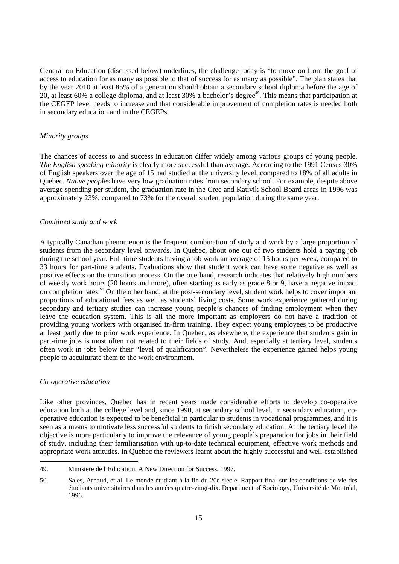General on Education (discussed below) underlines, the challenge today is "to move on from the goal of access to education for as many as possible to that of success for as many as possible". The plan states that by the year 2010 at least 85% of a generation should obtain a secondary school diploma before the age of 20, at least 60% a college diploma, and at least 30% a bachelor's degree<sup>49</sup>. This means that participation at the CEGEP level needs to increase and that considerable improvement of completion rates is needed both in secondary education and in the CEGEPs.

### *Minority groups*

The chances of access to and success in education differ widely among various groups of young people. *The English speaking minority* is clearly more successful than average. According to the 1991 Census 30% of English speakers over the age of 15 had studied at the university level, compared to 18% of all adults in Quebec. *Native peoples* have very low graduation rates from secondary school. For example, despite above average spending per student, the graduation rate in the Cree and Kativik School Board areas in 1996 was approximately 23%, compared to 73% for the overall student population during the same year.

#### *Combined study and work*

A typically Canadian phenomenon is the frequent combination of study and work by a large proportion of students from the secondary level onwards. In Quebec, about one out of two students hold a paying job during the school year. Full-time students having a job work an average of 15 hours per week, compared to 33 hours for part-time students. Evaluations show that student work can have some negative as well as positive effects on the transition process. On the one hand, research indicates that relatively high numbers of weekly work hours (20 hours and more), often starting as early as grade 8 or 9, have a negative impact on completion rates.<sup>50</sup> On the other hand, at the post-secondary level, student work helps to cover important proportions of educational fees as well as students' living costs. Some work experience gathered during secondary and tertiary studies can increase young people's chances of finding employment when they leave the education system. This is all the more important as employers do not have a tradition of providing young workers with organised in-firm training. They expect young employees to be productive at least partly due to prior work experience. In Quebec, as elsewhere, the experience that students gain in part-time jobs is most often not related to their fields of study. And, especially at tertiary level, students often work in jobs below their "level of qualification". Nevertheless the experience gained helps young people to acculturate them to the work environment.

#### *Co-operative education*

Like other provinces, Quebec has in recent years made considerable efforts to develop co-operative education both at the college level and, since 1990, at secondary school level. In secondary education, cooperative education is expected to be beneficial in particular to students in vocational programmes, and it is seen as a means to motivate less successful students to finish secondary education. At the tertiary level the objective is more particularly to improve the relevance of young people's preparation for jobs in their field of study, including their familiarisation with up-to-date technical equipment, effective work methods and appropriate work attitudes. In Quebec the reviewers learnt about the highly successful and well-established

<sup>49.</sup> Ministère de l'Education, A New Direction for Success, 1997.

<sup>50.</sup> Sales, Arnaud, et al. Le monde étudiant à la fin du 20e siècle. Rapport final sur les conditions de vie des étudiants universitaires dans les années quatre-vingt-dix. Department of Sociology, Université de Montréal, 1996.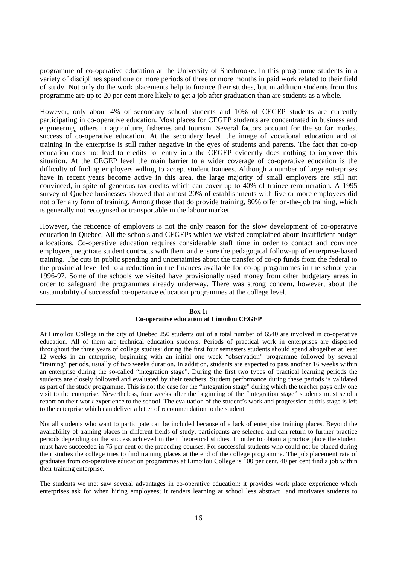programme of co-operative education at the University of Sherbrooke. In this programme students in a variety of disciplines spend one or more periods of three or more months in paid work related to their field of study. Not only do the work placements help to finance their studies, but in addition students from this programme are up to 20 per cent more likely to get a job after graduation than are students as a whole.

However, only about 4% of secondary school students and 10% of CEGEP students are currently participating in co-operative education. Most places for CEGEP students are concentrated in business and engineering, others in agriculture, fisheries and tourism. Several factors account for the so far modest success of co-operative education. At the secondary level, the image of vocational education and of training in the enterprise is still rather negative in the eyes of students and parents. The fact that co-op education does not lead to credits for entry into the CEGEP evidently does nothing to improve this situation. At the CEGEP level the main barrier to a wider coverage of co-operative education is the difficulty of finding employers willing to accept student trainees. Although a number of large enterprises have in recent years become active in this area, the large majority of small employers are still not convinced, in spite of generous tax credits which can cover up to 40% of trainee remuneration. A 1995 survey of Quebec businesses showed that almost 20% of establishments with five or more employees did not offer any form of training. Among those that do provide training, 80% offer on-the-job training, which is generally not recognised or transportable in the labour market.

However, the reticence of employers is not the only reason for the slow development of co-operative education in Quebec. All the schools and CEGEPs which we visited complained about insufficient budget allocations. Co-operative education requires considerable staff time in order to contact and convince employers, negotiate student contracts with them and ensure the pedagogical follow-up of enterprise-based training. The cuts in public spending and uncertainties about the transfer of co-op funds from the federal to the provincial level led to a reduction in the finances available for co-op programmes in the school year 1996-97. Some of the schools we visited have provisionally used money from other budgetary areas in order to safeguard the programmes already underway. There was strong concern, however, about the sustainability of successful co-operative education programmes at the college level.

### **Box 1: Co-operative education at Limoilou CEGEP**

At Limoilou College in the city of Quebec 250 students out of a total number of 6540 are involved in co-operative education. All of them are technical education students. Periods of practical work in enterprises are dispersed throughout the three years of college studies: during the first four semesters students should spend altogether at least 12 weeks in an enterprise, beginning with an initial one week "observation" programme followed by several "training" periods, usually of two weeks duration. In addition, students are expected to pass another 16 weeks within an enterprise during the so-called "integration stage". During the first two types of practical learning periods the students are closely followed and evaluated by their teachers. Student performance during these periods is validated as part of the study programme. This is not the case for the "integration stage" during which the teacher pays only one visit to the enterprise. Nevertheless, four weeks after the beginning of the "integration stage" students must send a report on their work experience to the school. The evaluation of the student's work and progression at this stage is left to the enterprise which can deliver a letter of recommendation to the student.

Not all students who want to participate can be included because of a lack of enterprise training places. Beyond the availability of training places in different fields of study, participants are selected and can return to further practice periods depending on the success achieved in their theoretical studies. In order to obtain a practice place the student must have succeeded in 75 per cent of the preceding courses. For successful students who could not be placed during their studies the college tries to find training places at the end of the college programme. The job placement rate of graduates from co-operative education programmes at Limoilou College is 100 per cent. 40 per cent find a job within their training enterprise.

The students we met saw several advantages in co-operative education: it provides work place experience which enterprises ask for when hiring employees; it renders learning at school less abstract and motivates students to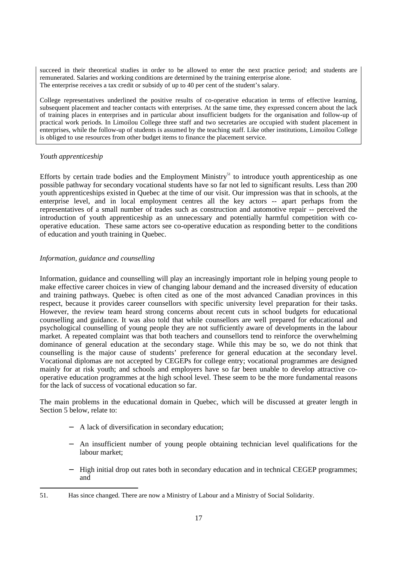succeed in their theoretical studies in order to be allowed to enter the next practice period; and students are remunerated. Salaries and working conditions are determined by the training enterprise alone. The enterprise receives a tax credit or subsidy of up to 40 per cent of the student's salary.

College representatives underlined the positive results of co-operative education in terms of effective learning, subsequent placement and teacher contacts with enterprises. At the same time, they expressed concern about the lack of training places in enterprises and in particular about insufficient budgets for the organisation and follow-up of practical work periods. In Limoilou College three staff and two secretaries are occupied with student placement in enterprises, while the follow-up of students is assumed by the teaching staff. Like other institutions, Limoilou College is obliged to use resources from other budget items to finance the placement service.

## *Youth apprenticeship*

Efforts by certain trade bodies and the Employment Ministry<sup>51</sup> to introduce youth apprenticeship as one possible pathway for secondary vocational students have so far not led to significant results. Less than 200 youth apprenticeships existed in Quebec at the time of our visit. Our impression was that in schools, at the enterprise level, and in local employment centres all the key actors -- apart perhaps from the representatives of a small number of trades such as construction and automotive repair -- perceived the introduction of youth apprenticeship as an unnecessary and potentially harmful competition with cooperative education. These same actors see co-operative education as responding better to the conditions of education and youth training in Quebec.

# *Information, guidance and counselling*

Information, guidance and counselling will play an increasingly important role in helping young people to make effective career choices in view of changing labour demand and the increased diversity of education and training pathways. Quebec is often cited as one of the most advanced Canadian provinces in this respect, because it provides career counsellors with specific university level preparation for their tasks. However, the review team heard strong concerns about recent cuts in school budgets for educational counselling and guidance. It was also told that while counsellors are well prepared for educational and psychological counselling of young people they are not sufficiently aware of developments in the labour market. A repeated complaint was that both teachers and counsellors tend to reinforce the overwhelming dominance of general education at the secondary stage. While this may be so, we do not think that counselling is the major cause of students' preference for general education at the secondary level. Vocational diplomas are not accepted by CEGEPs for college entry; vocational programmes are designed mainly for at risk youth; and schools and employers have so far been unable to develop attractive cooperative education programmes at the high school level. These seem to be the more fundamental reasons for the lack of success of vocational education so far.

The main problems in the educational domain in Quebec, which will be discussed at greater length in Section 5 below, relate to:

- − A lack of diversification in secondary education;
- − An insufficient number of young people obtaining technician level qualifications for the labour market;
- − High initial drop out rates both in secondary education and in technical CEGEP programmes; and

<sup>51.</sup> Has since changed. There are now a Ministry of Labour and a Ministry of Social Solidarity.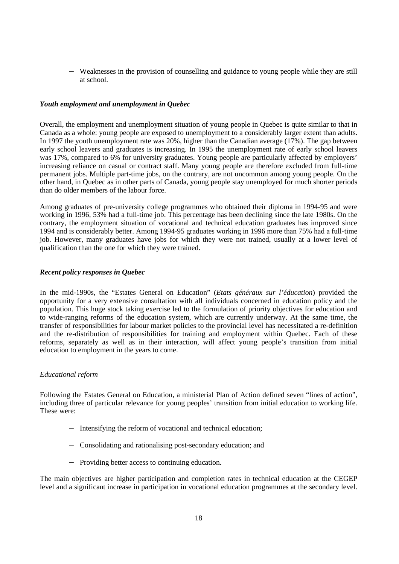− Weaknesses in the provision of counselling and guidance to young people while they are still at school.

## *Youth employment and unemployment in Quebec*

Overall, the employment and unemployment situation of young people in Quebec is quite similar to that in Canada as a whole: young people are exposed to unemployment to a considerably larger extent than adults. In 1997 the youth unemployment rate was 20%, higher than the Canadian average (17%). The gap between early school leavers and graduates is increasing. In 1995 the unemployment rate of early school leavers was 17%, compared to 6% for university graduates. Young people are particularly affected by employers' increasing reliance on casual or contract staff. Many young people are therefore excluded from full-time permanent jobs. Multiple part-time jobs, on the contrary, are not uncommon among young people. On the other hand, in Quebec as in other parts of Canada, young people stay unemployed for much shorter periods than do older members of the labour force.

Among graduates of pre-university college programmes who obtained their diploma in 1994-95 and were working in 1996, 53% had a full-time job. This percentage has been declining since the late 1980s. On the contrary, the employment situation of vocational and technical education graduates has improved since 1994 and is considerably better. Among 1994-95 graduates working in 1996 more than 75% had a full-time job. However, many graduates have jobs for which they were not trained, usually at a lower level of qualification than the one for which they were trained.

### *Recent policy responses in Quebec*

In the mid-1990s, the "Estates General on Education" (*Etats généraux sur l'éducation*) provided the opportunity for a very extensive consultation with all individuals concerned in education policy and the population. This huge stock taking exercise led to the formulation of priority objectives for education and to wide-ranging reforms of the education system, which are currently underway. At the same time, the transfer of responsibilities for labour market policies to the provincial level has necessitated a re-definition and the re-distribution of responsibilities for training and employment within Quebec. Each of these reforms, separately as well as in their interaction, will affect young people's transition from initial education to employment in the years to come.

### *Educational reform*

Following the Estates General on Education, a ministerial Plan of Action defined seven "lines of action", including three of particular relevance for young peoples' transition from initial education to working life. These were:

- − Intensifying the reform of vocational and technical education;
- − Consolidating and rationalising post-secondary education; and
- Providing better access to continuing education.

The main objectives are higher participation and completion rates in technical education at the CEGEP level and a significant increase in participation in vocational education programmes at the secondary level.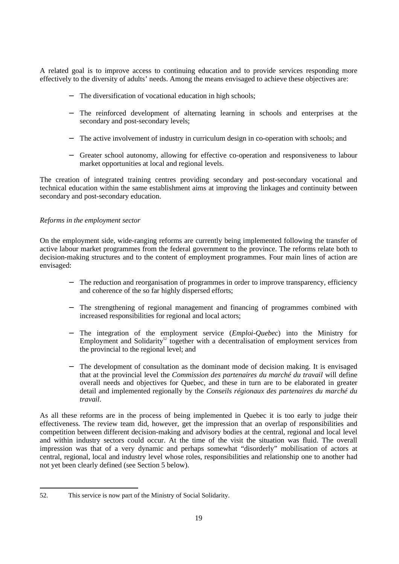A related goal is to improve access to continuing education and to provide services responding more effectively to the diversity of adults' needs. Among the means envisaged to achieve these objectives are:

- − The diversification of vocational education in high schools;
- − The reinforced development of alternating learning in schools and enterprises at the secondary and post-secondary levels;
- − The active involvement of industry in curriculum design in co-operation with schools; and
- − Greater school autonomy, allowing for effective co-operation and responsiveness to labour market opportunities at local and regional levels.

The creation of integrated training centres providing secondary and post-secondary vocational and technical education within the same establishment aims at improving the linkages and continuity between secondary and post-secondary education.

## *Reforms in the employment sector*

On the employment side, wide-ranging reforms are currently being implemented following the transfer of active labour market programmes from the federal government to the province. The reforms relate both to decision-making structures and to the content of employment programmes. Four main lines of action are envisaged:

- − The reduction and reorganisation of programmes in order to improve transparency, efficiency and coherence of the so far highly dispersed efforts;
- The strengthening of regional management and financing of programmes combined with increased responsibilities for regional and local actors;
- − The integration of the employment service (*Emploi-Quebec*) into the Ministry for Employment and Solidarity<sup>52</sup> together with a decentralisation of employment services from the provincial to the regional level; and
- The development of consultation as the dominant mode of decision making. It is envisaged that at the provincial level the *Commission des partenaires du marché du travail* will define overall needs and objectives for Quebec, and these in turn are to be elaborated in greater detail and implemented regionally by the *Conseils régionaux des partenaires du marché du travail*.

As all these reforms are in the process of being implemented in Quebec it is too early to judge their effectiveness. The review team did, however, get the impression that an overlap of responsibilities and competition between different decision-making and advisory bodies at the central, regional and local level and within industry sectors could occur. At the time of the visit the situation was fluid. The overall impression was that of a very dynamic and perhaps somewhat "disorderly" mobilisation of actors at central, regional, local and industry level whose roles, responsibilities and relationship one to another had not yet been clearly defined (see Section 5 below).

<sup>52.</sup> This service is now part of the Ministry of Social Solidarity.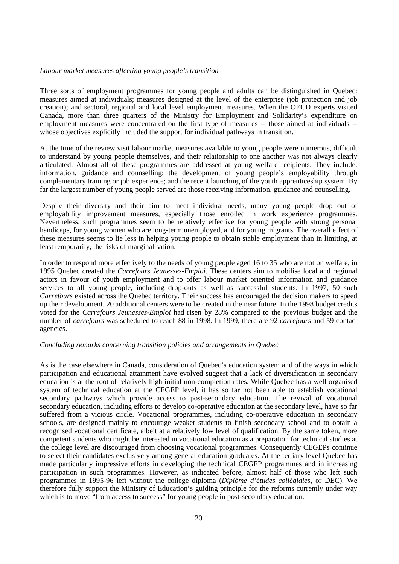#### *Labour market measures affecting young people's transition*

Three sorts of employment programmes for young people and adults can be distinguished in Quebec: measures aimed at individuals; measures designed at the level of the enterprise (job protection and job creation); and sectoral, regional and local level employment measures. When the OECD experts visited Canada, more than three quarters of the Ministry for Employment and Solidarity's expenditure on employment measures were concentrated on the first type of measures -- those aimed at individuals - whose objectives explicitly included the support for individual pathways in transition.

At the time of the review visit labour market measures available to young people were numerous, difficult to understand by young people themselves, and their relationship to one another was not always clearly articulated. Almost all of these programmes are addressed at young welfare recipients. They include: information, guidance and counselling; the development of young people's employability through complementary training or job experience; and the recent launching of the youth apprenticeship system. By far the largest number of young people served are those receiving information, guidance and counselling.

Despite their diversity and their aim to meet individual needs, many young people drop out of employability improvement measures, especially those enrolled in work experience programmes. Nevertheless, such programmes seem to be relatively effective for young people with strong personal handicaps, for young women who are long-term unemployed, and for young migrants. The overall effect of these measures seems to lie less in helping young people to obtain stable employment than in limiting, at least temporarily, the risks of marginalisation.

In order to respond more effectively to the needs of young people aged 16 to 35 who are not on welfare, in 1995 Quebec created the *Carrefours Jeunesses-Emploi*. These centers aim to mobilise local and regional actors in favour of youth employment and to offer labour market oriented information and guidance services to all young people, including drop-outs as well as successful students. In 1997, 50 such *Carrefours* existed across the Quebec territory. Their success has encouraged the decision makers to speed up their development. 20 additional centers were to be created in the near future. In the 1998 budget credits voted for the *Carrefours Jeunesses-Emploi* had risen by 28% compared to the previous budget and the number of *carrefours* was scheduled to reach 88 in 1998. In 1999, there are 92 *carrefours* and 59 contact agencies.

#### *Concluding remarks concerning transition policies and arrangements in Quebec*

As is the case elsewhere in Canada, consideration of Quebec's education system and of the ways in which participation and educational attainment have evolved suggest that a lack of diversification in secondary education is at the root of relatively high initial non-completion rates. While Quebec has a well organised system of technical education at the CEGEP level, it has so far not been able to establish vocational secondary pathways which provide access to post-secondary education. The revival of vocational secondary education, including efforts to develop co-operative education at the secondary level, have so far suffered from a vicious circle. Vocational programmes, including co-operative education in secondary schools, are designed mainly to encourage weaker students to finish secondary school and to obtain a recognised vocational certificate, albeit at a relatively low level of qualification. By the same token, more competent students who might be interested in vocational education as a preparation for technical studies at the college level are discouraged from choosing vocational programmes. Consequently CEGEPs continue to select their candidates exclusively among general education graduates. At the tertiary level Quebec has made particularly impressive efforts in developing the technical CEGEP programmes and in increasing participation in such programmes. However, as indicated before, almost half of those who left such programmes in 1995-96 left without the college diploma (*Diplôme d'études collégiales*, or DEC). We therefore fully support the Ministry of Education's guiding principle for the reforms currently under way which is to move "from access to success" for young people in post-secondary education.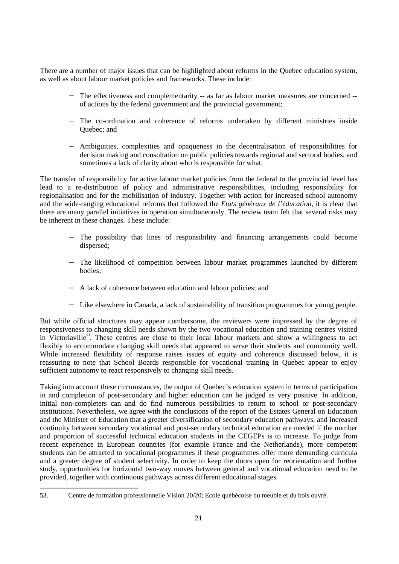There are a number of major issues that can be highlighted about reforms in the Quebec education system, as well as about labour market policies and frameworks. These include:

- The effectiveness and complementarity -- as far as labour market measures are concerned -of actions by the federal government and the provincial government;
- − The co-ordination and coherence of reforms undertaken by different ministries inside Quebec; and
- − Ambiguities, complexities and opaqueness in the decentralisation of responsibilities for decision making and consultation on public policies towards regional and sectoral bodies, and sometimes a lack of clarity about who is responsible for what.

The transfer of responsibility for active labour market policies from the federal to the provincial level has lead to a re-distribution of policy and administrative responsibilities, including responsibility for regionalisation and for the mobilisation of industry. Together with action for increased school autonomy and the wide-ranging educational reforms that followed the *Etats généraux de l'éducation*, it is clear that there are many parallel initiatives in operation simultaneously. The review team felt that several risks may be inherent in these changes. These include:

- − The possibility that lines of responsibility and financing arrangements could become dispersed;
- The likelihood of competition between labour market programmes launched by different bodies;
- − A lack of coherence between education and labour policies; and
- − Like elsewhere in Canada, a lack of sustainability of transition programmes for young people.

But while official structures may appear cumbersome, the reviewers were impressed by the degree of responsiveness to changing skill needs shown by the two vocational education and training centres visited in Victoriaville<sup>53</sup>. These centres are close to their local labour markets and show a willingness to act flexibly to accommodate changing skill needs that appeared to serve their students and community well. While increased flexibility of response raises issues of equity and coherence discussed below, it is reassuring to note that School Boards responsible for vocational training in Quebec appear to enjoy sufficient autonomy to react responsively to changing skill needs.

Taking into account these circumstances, the output of Quebec's education system in terms of participation in and completion of post-secondary and higher education can be judged as very positive. In addition, initial non-completers can and do find numerous possibilities to return to school or post-secondary institutions. Nevertheless, we agree with the conclusions of the report of the Estates General on Education and the Minister of Education that a greater diversification of secondary education pathways, and increased continuity between secondary vocational and post-secondary technical education are needed if the number and proportion of successful technical education students in the CEGEPs is to increase. To judge from recent experience in European countries (for example France and the Netherlands), more competent students can be attracted to vocational programmes if these programmes offer more demanding curricula and a greater degree of student selectivity. In order to keep the doors open for reorientation and further study, opportunities for horizontal two-way moves between general and vocational education need to be provided, together with continuous pathways across different educational stages.

<sup>53.</sup> Centre de formation professionnelle Vision 20/20; Ecole québécoise du meuble et du bois ouvré.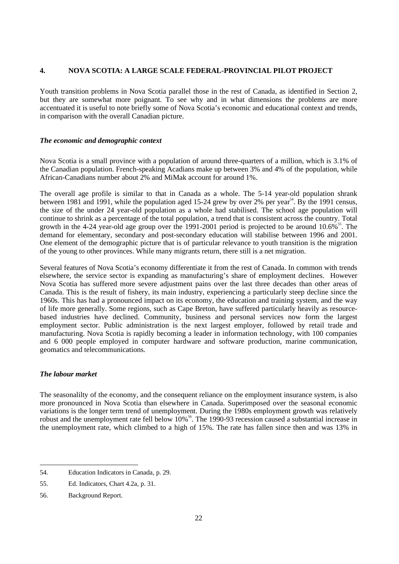## **4. NOVA SCOTIA: A LARGE SCALE FEDERAL-PROVINCIAL PILOT PROJECT**

Youth transition problems in Nova Scotia parallel those in the rest of Canada, as identified in Section 2, but they are somewhat more poignant. To see why and in what dimensions the problems are more accentuated it is useful to note briefly some of Nova Scotia's economic and educational context and trends, in comparison with the overall Canadian picture.

## *The economic and demographic context*

Nova Scotia is a small province with a population of around three-quarters of a million, which is 3.1% of the Canadian population. French-speaking Acadians make up between 3% and 4% of the population, while African-Canadians number about  $2\%$  and MiMak account for around 1%.

The overall age profile is similar to that in Canada as a whole. The 5-14 year-old population shrank between 1981 and 1991, while the population aged 15-24 grew by over 2% per year<sup>54</sup>. By the 1991 census, the size of the under 24 year-old population as a whole had stabilised. The school age population will continue to shrink as a percentage of the total population, a trend that is consistent across the country. Total growth in the 4-24 year-old age group over the 1991-2001 period is projected to be around 10.6%<sup>55</sup>. The demand for elementary, secondary and post-secondary education will stabilise between 1996 and 2001. One element of the demographic picture that is of particular relevance to youth transition is the migration of the young to other provinces. While many migrants return, there still is a net migration.

Several features of Nova Scotia's economy differentiate it from the rest of Canada. In common with trends elsewhere, the service sector is expanding as manufacturing's share of employment declines. However Nova Scotia has suffered more severe adjustment pains over the last three decades than other areas of Canada. This is the result of fishery, its main industry, experiencing a particularly steep decline since the 1960s. This has had a pronounced impact on its economy, the education and training system, and the way of life more generally. Some regions, such as Cape Breton, have suffered particularly heavily as resourcebased industries have declined. Community, business and personal services now form the largest employment sector. Public administration is the next largest employer, followed by retail trade and manufacturing. Nova Scotia is rapidly becoming a leader in information technology, with 100 companies and 6 000 people employed in computer hardware and software production, marine communication, geomatics and telecommunications.

## *The labour market*

The seasonalilty of the economy, and the consequent reliance on the employment insurance system, is also more pronounced in Nova Scotia than elsewhere in Canada. Superimposed over the seasonal economic variations is the longer term trend of unemployment. During the 1980s employment growth was relatively robust and the unemployment rate fell below 10%<sup>56</sup>. The 1990-93 recession caused a substantial increase in the unemployment rate, which climbed to a high of 15%. The rate has fallen since then and was 13% in

<sup>54.</sup> Education Indicators in Canada, p. 29.

<sup>55.</sup> Ed. Indicators, Chart 4.2a, p. 31.

<sup>56.</sup> Background Report.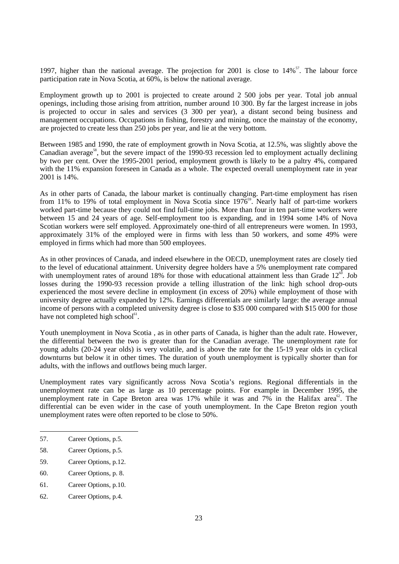1997, higher than the national average. The projection for 2001 is close to  $14\%$ <sup>57</sup>. The labour force participation rate in Nova Scotia, at 60%, is below the national average.

Employment growth up to 2001 is projected to create around 2 500 jobs per year. Total job annual openings, including those arising from attrition, number around 10 300. By far the largest increase in jobs is projected to occur in sales and services (3 300 per year), a distant second being business and management occupations. Occupations in fishing, forestry and mining, once the mainstay of the economy, are projected to create less than 250 jobs per year, and lie at the very bottom.

Between 1985 and 1990, the rate of employment growth in Nova Scotia, at 12.5%, was slightly above the Canadian average<sup>58</sup>, but the severe impact of the 1990-93 recession led to employment actually declining by two per cent. Over the 1995-2001 period, employment growth is likely to be a paltry 4%, compared with the 11% expansion foreseen in Canada as a whole. The expected overall unemployment rate in year 2001 is 14%.

As in other parts of Canada, the labour market is continually changing. Part-time employment has risen from 11% to 19% of total employment in Nova Scotia since  $1976^{\circ}$ . Nearly half of part-time workers worked part-time because they could not find full-time jobs. More than four in ten part-time workers were between 15 and 24 years of age. Self-employment too is expanding, and in 1994 some 14% of Nova Scotian workers were self employed. Approximately one-third of all entrepreneurs were women. In 1993, approximately 31% of the employed were in firms with less than 50 workers, and some 49% were employed in firms which had more than 500 employees.

As in other provinces of Canada, and indeed elsewhere in the OECD, unemployment rates are closely tied to the level of educational attainment. University degree holders have a 5% unemployment rate compared with unemployment rates of around 18% for those with educational attainment less than Grade  $12^{60}$ . Job losses during the 1990-93 recession provide a telling illustration of the link: high school drop-outs experienced the most severe decline in employment (in excess of 20%) while employment of those with university degree actually expanded by 12%. Earnings differentials are similarly large: the average annual income of persons with a completed university degree is close to \$35 000 compared with \$15 000 for those have not completed high school<sup>61</sup>.

Youth unemployment in Nova Scotia , as in other parts of Canada, is higher than the adult rate. However, the differential between the two is greater than for the Canadian average. The unemployment rate for young adults (20-24 year olds) is very volatile, and is above the rate for the 15-19 year olds in cyclical downturns but below it in other times. The duration of youth unemployment is typically shorter than for adults, with the inflows and outflows being much larger.

Unemployment rates vary significantly across Nova Scotia's regions. Regional differentials in the unemployment rate can be as large as 10 percentage points. For example in December 1995, the unemployment rate in Cape Breton area was 17% while it was and 7% in the Halifax area<sup>62</sup>. The differential can be even wider in the case of youth unemployment. In the Cape Breton region youth unemployment rates were often reported to be close to 50%.

60. Career Options, p. 8.

<sup>57.</sup> Career Options, p.5.

<sup>58.</sup> Career Options, p.5.

<sup>59.</sup> Career Options, p.12.

<sup>61.</sup> Career Options, p.10.

<sup>62.</sup> Career Options, p.4.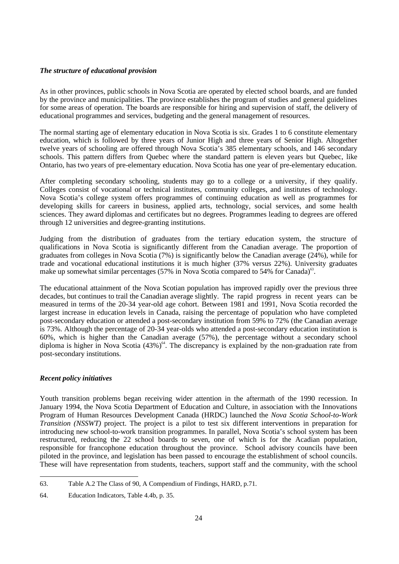## *The structure of educational provision*

As in other provinces, public schools in Nova Scotia are operated by elected school boards, and are funded by the province and municipalities. The province establishes the program of studies and general guidelines for some areas of operation. The boards are responsible for hiring and supervision of staff, the delivery of educational programmes and services, budgeting and the general management of resources.

The normal starting age of elementary education in Nova Scotia is six. Grades 1 to 6 constitute elementary education, which is followed by three years of Junior High and three years of Senior High. Altogether twelve years of schooling are offered through Nova Scotia's 385 elementary schools, and 146 secondary schools. This pattern differs from Quebec where the standard pattern is eleven years but Quebec, like Ontario, has two years of pre-elementary education. Nova Scotia has one year of pre-elementary education.

After completing secondary schooling, students may go to a college or a university, if they qualify. Colleges consist of vocational or technical institutes, community colleges, and institutes of technology. Nova Scotia's college system offers programmes of continuing education as well as programmes for developing skills for careers in business, applied arts, technology, social services, and some health sciences. They award diplomas and certificates but no degrees. Programmes leading to degrees are offered through 12 universities and degree-granting institutions.

Judging from the distribution of graduates from the tertiary education system, the structure of qualifications in Nova Scotia is significantly different from the Canadian average. The proportion of graduates from colleges in Nova Scotia (7%) is significantly below the Canadian average (24%), while for trade and vocational educational institutions it is much higher (37% versus 22%). University graduates make up somewhat similar percentages (57% in Nova Scotia compared to 54% for Canada)<sup>63</sup>.

The educational attainment of the Nova Scotian population has improved rapidly over the previous three decades, but continues to trail the Canadian average slightly. The rapid progress in recent years can be measured in terms of the 20-34 year-old age cohort. Between 1981 and 1991, Nova Scotia recorded the largest increase in education levels in Canada, raising the percentage of population who have completed post-secondary education or attended a post-secondary institution from 59% to 72% (the Canadian average is 73%. Although the percentage of 20-34 year-olds who attended a post-secondary education institution is 60%, which is higher than the Canadian average (57%), the percentage without a secondary school diploma is higher in Nova Scotia  $(43\%)$ <sup>64</sup>. The discrepancy is explained by the non-graduation rate from post-secondary institutions.

## *Recent policy initiatives*

Youth transition problems began receiving wider attention in the aftermath of the 1990 recession. In January 1994, the Nova Scotia Department of Education and Culture, in association with the Innovations Program of Human Resources Development Canada (HRDC) launched the *Nova Scotia School-to-Work Transition (NSSWT)* project. The project is a pilot to test six different interventions in preparation for introducing new school-to-work transition programmes. In parallel, Nova Scotia's school system has been restructured, reducing the 22 school boards to seven, one of which is for the Acadian population, responsible for francophone education throughout the province. School advisory councils have been piloted in the province, and legislation has been passed to encourage the establishment of school councils. These will have representation from students, teachers, support staff and the community, with the school

<sup>63.</sup> Table A.2 The Class of 90, A Compendium of Findings, HARD, p.71.

<sup>64.</sup> Education Indicators, Table 4.4b, p. 35.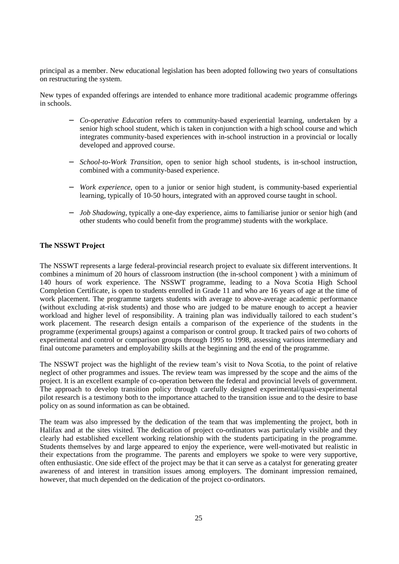principal as a member. New educational legislation has been adopted following two years of consultations on restructuring the system.

New types of expanded offerings are intended to enhance more traditional academic programme offerings in schools.

- − *Co-operative Education* refers to community-based experiential learning, undertaken by a senior high school student, which is taken in conjunction with a high school course and which integrates community-based experiences with in-school instruction in a provincial or locally developed and approved course.
- − *School-to-Work Transition*, open to senior high school students, is in-school instruction, combined with a community-based experience.
- − *Work experience,* open to a junior or senior high student, is community-based experiential learning, typically of 10-50 hours, integrated with an approved course taught in school.
- − *Job Shadowing,* typically a one-day experience, aims to familiarise junior or senior high (and other students who could benefit from the programme) students with the workplace.

## **The NSSWT Project**

The NSSWT represents a large federal-provincial research project to evaluate six different interventions. It combines a minimum of 20 hours of classroom instruction (the in-school component ) with a minimum of 140 hours of work experience. The NSSWT programme, leading to a Nova Scotia High School Completion Certificate, is open to students enrolled in Grade 11 and who are 16 years of age at the time of work placement. The programme targets students with average to above-average academic performance (without excluding at-risk students) and those who are judged to be mature enough to accept a heavier workload and higher level of responsibility. A training plan was individually tailored to each student's work placement. The research design entails a comparison of the experience of the students in the programme (experimental groups) against a comparison or control group. It tracked pairs of two cohorts of experimental and control or comparison groups through 1995 to 1998, assessing various intermediary and final outcome parameters and employability skills at the beginning and the end of the programme.

The NSSWT project was the highlight of the review team's visit to Nova Scotia, to the point of relative neglect of other programmes and issues. The review team was impressed by the scope and the aims of the project. It is an excellent example of co-operation between the federal and provincial levels of government. The approach to develop transition policy through carefully designed experimental/quasi-experimental pilot research is a testimony both to the importance attached to the transition issue and to the desire to base policy on as sound information as can be obtained.

The team was also impressed by the dedication of the team that was implementing the project, both in Halifax and at the sites visited. The dedication of project co-ordinators was particularly visible and they clearly had established excellent working relationship with the students participating in the programme. Students themselves by and large appeared to enjoy the experience, were well-motivated but realistic in their expectations from the programme. The parents and employers we spoke to were very supportive, often enthusiastic. One side effect of the project may be that it can serve as a catalyst for generating greater awareness of and interest in transition issues among employers. The dominant impression remained, however, that much depended on the dedication of the project co-ordinators.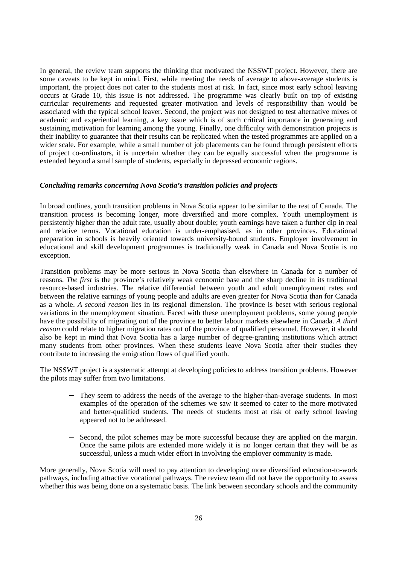In general, the review team supports the thinking that motivated the NSSWT project. However, there are some caveats to be kept in mind. First, while meeting the needs of average to above-average students is important, the project does not cater to the students most at risk. In fact, since most early school leaving occurs at Grade 10, this issue is not addressed. The programme was clearly built on top of existing curricular requirements and requested greater motivation and levels of responsibility than would be associated with the typical school leaver. Second, the project was not designed to test alternative mixes of academic and experiential learning, a key issue which is of such critical importance in generating and sustaining motivation for learning among the young. Finally, one difficulty with demonstration projects is their inability to guarantee that their results can be replicated when the tested programmes are applied on a wider scale. For example, while a small number of job placements can be found through persistent efforts of project co-ordinators, it is uncertain whether they can be equally successful when the programme is extended beyond a small sample of students, especially in depressed economic regions.

### *Concluding remarks concerning Nova Scotia's transition policies and projects*

In broad outlines, youth transition problems in Nova Scotia appear to be similar to the rest of Canada. The transition process is becoming longer, more diversified and more complex. Youth unemployment is persistently higher than the adult rate, usually about double; youth earnings have taken a further dip in real and relative terms. Vocational education is under-emphasised, as in other provinces. Educational preparation in schools is heavily oriented towards university-bound students. Employer involvement in educational and skill development programmes is traditionally weak in Canada and Nova Scotia is no exception.

Transition problems may be more serious in Nova Scotia than elsewhere in Canada for a number of reasons. *The first* is the province's relatively weak economic base and the sharp decline in its traditional resource-based industries. The relative differential between youth and adult unemployment rates and between the relative earnings of young people and adults are even greater for Nova Scotia than for Canada as a whole. *A second reason* lies in its regional dimension. The province is beset with serious regional variations in the unemployment situation. Faced with these unemployment problems, some young people have the possibility of migrating out of the province to better labour markets elsewhere in Canada. *A third reason* could relate to higher migration rates out of the province of qualified personnel. However, it should also be kept in mind that Nova Scotia has a large number of degree-granting institutions which attract many students from other provinces. When these students leave Nova Scotia after their studies they contribute to increasing the emigration flows of qualified youth.

The NSSWT project is a systematic attempt at developing policies to address transition problems. However the pilots may suffer from two limitations.

- They seem to address the needs of the average to the higher-than-average students. In most examples of the operation of the schemes we saw it seemed to cater to the more motivated and better-qualified students. The needs of students most at risk of early school leaving appeared not to be addressed.
- Second, the pilot schemes may be more successful because they are applied on the margin. Once the same pilots are extended more widely it is no longer certain that they will be as successful, unless a much wider effort in involving the employer community is made.

More generally, Nova Scotia will need to pay attention to developing more diversified education-to-work pathways, including attractive vocational pathways. The review team did not have the opportunity to assess whether this was being done on a systematic basis. The link between secondary schools and the community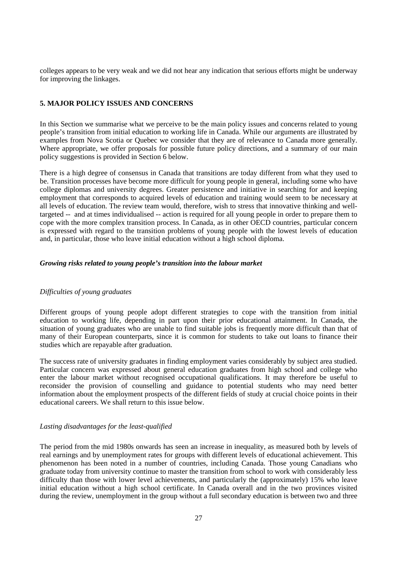colleges appears to be very weak and we did not hear any indication that serious efforts might be underway for improving the linkages.

## **5. MAJOR POLICY ISSUES AND CONCERNS**

In this Section we summarise what we perceive to be the main policy issues and concerns related to young people's transition from initial education to working life in Canada. While our arguments are illustrated by examples from Nova Scotia or Quebec we consider that they are of relevance to Canada more generally. Where appropriate, we offer proposals for possible future policy directions, and a summary of our main policy suggestions is provided in Section 6 below.

There is a high degree of consensus in Canada that transitions are today different from what they used to be. Transition processes have become more difficult for young people in general, including some who have college diplomas and university degrees. Greater persistence and initiative in searching for and keeping employment that corresponds to acquired levels of education and training would seem to be necessary at all levels of education. The review team would, therefore, wish to stress that innovative thinking and welltargeted -- and at times individualised -- action is required for all young people in order to prepare them to cope with the more complex transition process. In Canada, as in other OECD countries, particular concern is expressed with regard to the transition problems of young people with the lowest levels of education and, in particular, those who leave initial education without a high school diploma.

#### *Growing risks related to young people's transition into the labour market*

## *Difficulties of young graduates*

Different groups of young people adopt different strategies to cope with the transition from initial education to working life, depending in part upon their prior educational attainment. In Canada, the situation of young graduates who are unable to find suitable jobs is frequently more difficult than that of many of their European counterparts, since it is common for students to take out loans to finance their studies which are repayable after graduation.

The success rate of university graduates in finding employment varies considerably by subject area studied. Particular concern was expressed about general education graduates from high school and college who enter the labour market without recognised occupational qualifications. It may therefore be useful to reconsider the provision of counselling and guidance to potential students who may need better information about the employment prospects of the different fields of study at crucial choice points in their educational careers. We shall return to this issue below.

#### *Lasting disadvantages for the least-qualified*

The period from the mid 1980s onwards has seen an increase in inequality, as measured both by levels of real earnings and by unemployment rates for groups with different levels of educational achievement. This phenomenon has been noted in a number of countries, including Canada. Those young Canadians who graduate today from university continue to master the transition from school to work with considerably less difficulty than those with lower level achievements, and particularly the (approximately) 15% who leave initial education without a high school certificate. In Canada overall and in the two provinces visited during the review, unemployment in the group without a full secondary education is between two and three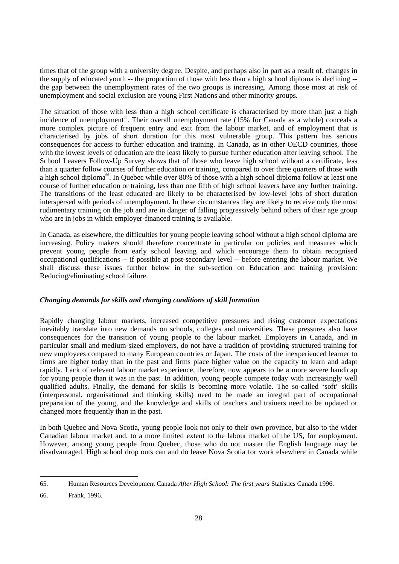times that of the group with a university degree. Despite, and perhaps also in part as a result of, changes in the supply of educated youth -- the proportion of those with less than a high school diploma is declining - the gap between the unemployment rates of the two groups is increasing. Among those most at risk of unemployment and social exclusion are young First Nations and other minority groups.

The situation of those with less than a high school certificate is characterised by more than just a high incidence of unemployment<sup>65</sup>. Their overall unemployment rate (15% for Canada as a whole) conceals a more complex picture of frequent entry and exit from the labour market, and of employment that is characterised by jobs of short duration for this most vulnerable group. This pattern has serious consequences for access to further education and training. In Canada, as in other OECD countries, those with the lowest levels of education are the least likely to pursue further education after leaving school. The School Leavers Follow-Up Survey shows that of those who leave high school without a certificate, less than a quarter follow courses of further education or training, compared to over three quarters of those with a high school diploma<sup>66</sup>. In Quebec while over 80% of those with a high school diploma follow at least one course of further education or training, less than one fifth of high school leavers have any further training. The transitions of the least educated are likely to be characterised by low-level jobs of short duration interspersed with periods of unemployment. In these circumstances they are likely to receive only the most rudimentary training on the job and are in danger of falling progressively behind others of their age group who are in jobs in which employer-financed training is available.

In Canada, as elsewhere, the difficulties for young people leaving school without a high school diploma are increasing. Policy makers should therefore concentrate in particular on policies and measures which prevent young people from early school leaving and which encourage them to obtain recognised occupational qualifications -- if possible at post-secondary level -- before entering the labour market. We shall discuss these issues further below in the sub-section on Education and training provision: Reducing/eliminating school failure.

## *Changing demands for skills and changing conditions of skill formation*

Rapidly changing labour markets, increased competitive pressures and rising customer expectations inevitably translate into new demands on schools, colleges and universities. These pressures also have consequences for the transition of young people to the labour market. Employers in Canada, and in particular small and medium-sized employers, do not have a tradition of providing structured training for new employees compared to many European countries or Japan. The costs of the inexperienced learner to firms are higher today than in the past and firms place higher value on the capacity to learn and adapt rapidly. Lack of relevant labour market experience, therefore, now appears to be a more severe handicap for young people than it was in the past. In addition, young people compete today with increasingly well qualified adults. Finally, the demand for skills is becoming more volatile. The so-called 'soft' skills (interpersonal, organisational and thinking skills) need to be made an integral part of occupational preparation of the young, and the knowledge and skills of teachers and trainers need to be updated or changed more frequently than in the past.

In both Quebec and Nova Scotia, young people look not only to their own province, but also to the wider Canadian labour market and, to a more limited extent to the labour market of the US, for employment. However, among young people from Quebec, those who do not master the English language may be disadvantaged. High school drop outs can and do leave Nova Scotia for work elsewhere in Canada while

<sup>65.</sup> Human Resources Development Canada *After High School: The first years* Statistics Canada 1996.

<sup>66.</sup> Frank, 1996.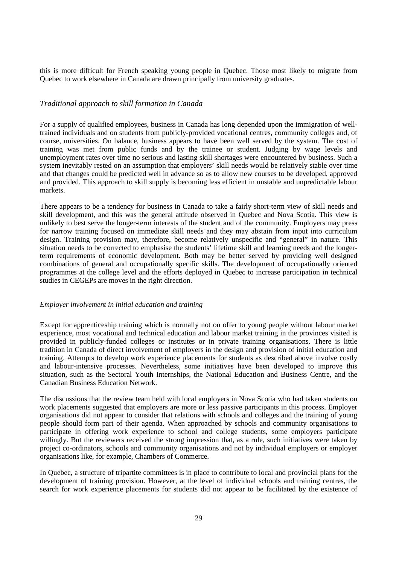this is more difficult for French speaking young people in Quebec. Those most likely to migrate from Quebec to work elsewhere in Canada are drawn principally from university graduates.

### *Traditional approach to skill formation in Canada*

For a supply of qualified employees, business in Canada has long depended upon the immigration of welltrained individuals and on students from publicly-provided vocational centres, community colleges and, of course, universities. On balance, business appears to have been well served by the system. The cost of training was met from public funds and by the trainee or student. Judging by wage levels and unemployment rates over time no serious and lasting skill shortages were encountered by business. Such a system inevitably rested on an assumption that employers' skill needs would be relatively stable over time and that changes could be predicted well in advance so as to allow new courses to be developed, approved and provided. This approach to skill supply is becoming less efficient in unstable and unpredictable labour markets.

There appears to be a tendency for business in Canada to take a fairly short-term view of skill needs and skill development, and this was the general attitude observed in Quebec and Nova Scotia. This view is unlikely to best serve the longer-term interests of the student and of the community. Employers may press for narrow training focused on immediate skill needs and they may abstain from input into curriculum design. Training provision may, therefore, become relatively unspecific and "general" in nature. This situation needs to be corrected to emphasise the students' lifetime skill and learning needs and the longerterm requirements of economic development. Both may be better served by providing well designed combinations of general and occupationally specific skills. The development of occupationally oriented programmes at the college level and the efforts deployed in Quebec to increase participation in technical studies in CEGEPs are moves in the right direction.

### *Employer involvement in initial education and training*

Except for apprenticeship training which is normally not on offer to young people without labour market experience, most vocational and technical education and labour market training in the provinces visited is provided in publicly-funded colleges or institutes or in private training organisations. There is little tradition in Canada of direct involvement of employers in the design and provision of initial education and training. Attempts to develop work experience placements for students as described above involve costly and labour-intensive processes. Nevertheless, some initiatives have been developed to improve this situation, such as the Sectoral Youth Internships, the National Education and Business Centre, and the Canadian Business Education Network.

The discussions that the review team held with local employers in Nova Scotia who had taken students on work placements suggested that employers are more or less passive participants in this process. Employer organisations did not appear to consider that relations with schools and colleges and the training of young people should form part of their agenda. When approached by schools and community organisations to participate in offering work experience to school and college students, some employers participate willingly. But the reviewers received the strong impression that, as a rule, such initiatives were taken by project co-ordinators, schools and community organisations and not by individual employers or employer organisations like, for example, Chambers of Commerce.

In Quebec, a structure of tripartite committees is in place to contribute to local and provincial plans for the development of training provision. However, at the level of individual schools and training centres, the search for work experience placements for students did not appear to be facilitated by the existence of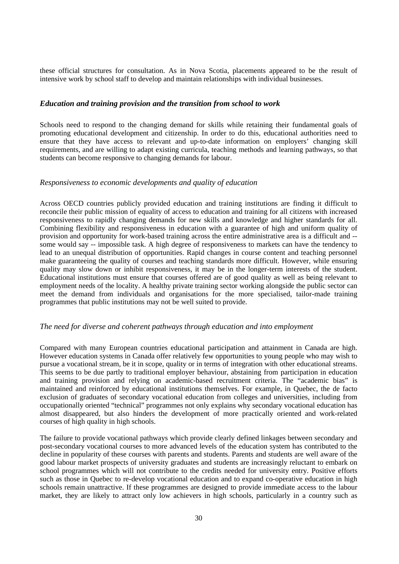these official structures for consultation. As in Nova Scotia, placements appeared to be the result of intensive work by school staff to develop and maintain relationships with individual businesses.

## *Education and training provision and the transition from school to work*

Schools need to respond to the changing demand for skills while retaining their fundamental goals of promoting educational development and citizenship. In order to do this, educational authorities need to ensure that they have access to relevant and up-to-date information on employers' changing skill requirements, and are willing to adapt existing curricula, teaching methods and learning pathways, so that students can become responsive to changing demands for labour.

#### *Responsiveness to economic developments and quality of education*

Across OECD countries publicly provided education and training institutions are finding it difficult to reconcile their public mission of equality of access to education and training for all citizens with increased responsiveness to rapidly changing demands for new skills and knowledge and higher standards for all. Combining flexibility and responsiveness in education with a guarantee of high and uniform quality of provision and opportunity for work-based training across the entire administrative area is a difficult and - some would say -- impossible task. A high degree of responsiveness to markets can have the tendency to lead to an unequal distribution of opportunities. Rapid changes in course content and teaching personnel make guaranteeing the quality of courses and teaching standards more difficult. However, while ensuring quality may slow down or inhibit responsiveness, it may be in the longer-term interests of the student. Educational institutions must ensure that courses offered are of good quality as well as being relevant to employment needs of the locality. A healthy private training sector working alongside the public sector can meet the demand from individuals and organisations for the more specialised, tailor-made training programmes that public institutions may not be well suited to provide.

## *The need for diverse and coherent pathways through education and into employment*

Compared with many European countries educational participation and attainment in Canada are high. However education systems in Canada offer relatively few opportunities to young people who may wish to pursue a vocational stream, be it in scope, quality or in terms of integration with other educational streams. This seems to be due partly to traditional employer behaviour, abstaining from participation in education and training provision and relying on academic-based recruitment criteria. The "academic bias" is maintained and reinforced by educational institutions themselves. For example, in Quebec, the de facto exclusion of graduates of secondary vocational education from colleges and universities, including from occupationally oriented "technical" programmes not only explains why secondary vocational education has almost disappeared, but also hinders the development of more practically oriented and work-related courses of high quality in high schools.

The failure to provide vocational pathways which provide clearly defined linkages between secondary and post-secondary vocational courses to more advanced levels of the education system has contributed to the decline in popularity of these courses with parents and students. Parents and students are well aware of the good labour market prospects of university graduates and students are increasingly reluctant to embark on school programmes which will not contribute to the credits needed for university entry. Positive efforts such as those in Quebec to re-develop vocational education and to expand co-operative education in high schools remain unattractive. If these programmes are designed to provide immediate access to the labour market, they are likely to attract only low achievers in high schools, particularly in a country such as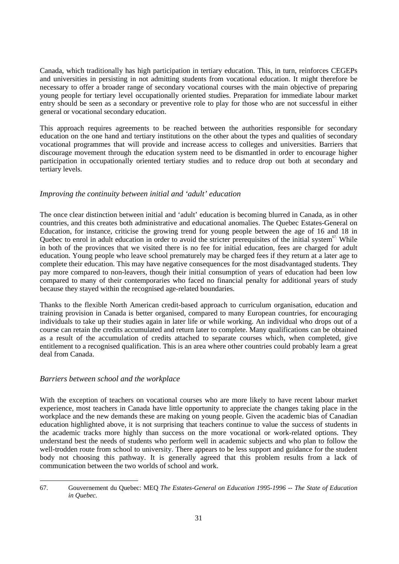Canada, which traditionally has high participation in tertiary education. This, in turn, reinforces CEGEPs and universities in persisting in not admitting students from vocational education. It might therefore be necessary to offer a broader range of secondary vocational courses with the main objective of preparing young people for tertiary level occupationally oriented studies. Preparation for immediate labour market entry should be seen as a secondary or preventive role to play for those who are not successful in either general or vocational secondary education.

This approach requires agreements to be reached between the authorities responsible for secondary education on the one hand and tertiary institutions on the other about the types and qualities of secondary vocational programmes that will provide and increase access to colleges and universities. Barriers that discourage movement through the education system need to be dismantled in order to encourage higher participation in occupationally oriented tertiary studies and to reduce drop out both at secondary and tertiary levels.

# *Improving the continuity between initial and 'adult' education*

The once clear distinction between initial and 'adult' education is becoming blurred in Canada, as in other countries, and this creates both administrative and educational anomalies. The Quebec Estates-General on Education, for instance, criticise the growing trend for young people between the age of 16 and 18 in Quebec to enrol in adult education in order to avoid the stricter prerequisites of the initial system $<sup>67</sup>$ . While</sup> in both of the provinces that we visited there is no fee for initial education, fees are charged for adult education. Young people who leave school prematurely may be charged fees if they return at a later age to complete their education. This may have negative consequences for the most disadvantaged students. They pay more compared to non-leavers, though their initial consumption of years of education had been low compared to many of their contemporaries who faced no financial penalty for additional years of study because they stayed within the recognised age-related boundaries.

Thanks to the flexible North American credit-based approach to curriculum organisation, education and training provision in Canada is better organised, compared to many European countries, for encouraging individuals to take up their studies again in later life or while working. An individual who drops out of a course can retain the credits accumulated and return later to complete. Many qualifications can be obtained as a result of the accumulation of credits attached to separate courses which, when completed, give entitlement to a recognised qualification. This is an area where other countries could probably learn a great deal from Canada.

# *Barriers between school and the workplace*

With the exception of teachers on vocational courses who are more likely to have recent labour market experience, most teachers in Canada have little opportunity to appreciate the changes taking place in the workplace and the new demands these are making on young people. Given the academic bias of Canadian education highlighted above, it is not surprising that teachers continue to value the success of students in the academic tracks more highly than success on the more vocational or work-related options. They understand best the needs of students who perform well in academic subjects and who plan to follow the well-trodden route from school to university. There appears to be less support and guidance for the student body not choosing this pathway. It is generally agreed that this problem results from a lack of communication between the two worlds of school and work.

<sup>67.</sup> Gouvernement du Quebec: MEQ *The Estates-General on Education 1995-1996 -- The State of Education in Quebec.*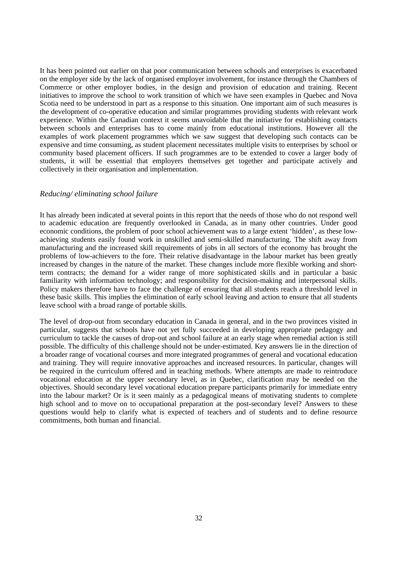It has been pointed out earlier on that poor communication between schools and enterprises is exacerbated on the employer side by the lack of organised employer involvement, for instance through the Chambers of Commerce or other employer bodies, in the design and provision of education and training. Recent initiatives to improve the school to work transition of which we have seen examples in Quebec and Nova Scotia need to be understood in part as a response to this situation. One important aim of such measures is the development of co-operative education and similar programmes providing students with relevant work experience. Within the Canadian context it seems unavoidable that the initiative for establishing contacts between schools and enterprises has to come mainly from educational institutions. However all the examples of work placement programmes which we saw suggest that developing such contacts can be expensive and time consuming, as student placement necessitates multiple visits to enterprises by school or community based placement officers. If such programmes are to be extended to cover a larger body of students, it will be essential that employers themselves get together and participate actively and collectively in their organisation and implementation.

## *Reducing/ eliminating school failure*

It has already been indicated at several points in this report that the needs of those who do not respond well to academic education are frequently overlooked in Canada, as in many other countries. Under good economic conditions, the problem of poor school achievement was to a large extent 'hidden', as these lowachieving students easily found work in unskilled and semi-skilled manufacturing. The shift away from manufacturing and the increased skill requirements of jobs in all sectors of the economy has brought the problems of low-achievers to the fore. Their relative disadvantage in the labour market has been greatly increased by changes in the nature of the market. These changes include more flexible working and shortterm contracts; the demand for a wider range of more sophisticated skills and in particular a basic familiarity with information technology; and responsibility for decision-making and interpersonal skills. Policy makers therefore have to face the challenge of ensuring that all students reach a threshold level in these basic skills. This implies the elimination of early school leaving and action to ensure that all students leave school with a broad range of portable skills.

The level of drop-out from secondary education in Canada in general, and in the two provinces visited in particular, suggests that schools have not yet fully succeeded in developing appropriate pedagogy and curriculum to tackle the causes of drop-out and school failure at an early stage when remedial action is still possible. The difficulty of this challenge should not be under-estimated. Key answers lie in the direction of a broader range of vocational courses and more integrated programmes of general and vocational education and training. They will require innovative approaches and increased resources. In particular, changes will be required in the curriculum offered and in teaching methods. Where attempts are made to reintroduce vocational education at the upper secondary level, as in Quebec, clarification may be needed on the objectives. Should secondary level vocational education prepare participants primarily for immediate entry into the labour market? Or is it seen mainly as a pedagogical means of motivating students to complete high school and to move on to occupational preparation at the post-secondary level? Answers to these questions would help to clarify what is expected of teachers and of students and to define resource commitments, both human and financial.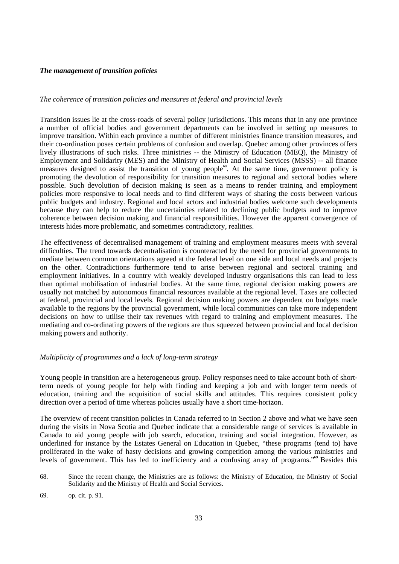## *The management of transition policies*

## *The coherence of transition policies and measures at federal and provincial levels*

Transition issues lie at the cross-roads of several policy jurisdictions. This means that in any one province a number of official bodies and government departments can be involved in setting up measures to improve transition. Within each province a number of different ministries finance transition measures, and their co-ordination poses certain problems of confusion and overlap. Quebec among other provinces offers lively illustrations of such risks. Three ministries -- the Ministry of Education (MEQ), the Ministry of Employment and Solidarity (MES) and the Ministry of Health and Social Services (MSSS) -- all finance measures designed to assist the transition of young people<sup>68</sup>. At the same time, government policy is promoting the devolution of responsibility for transition measures to regional and sectoral bodies where possible. Such devolution of decision making is seen as a means to render training and employment policies more responsive to local needs and to find different ways of sharing the costs between various public budgets and industry. Regional and local actors and industrial bodies welcome such developments because they can help to reduce the uncertainties related to declining public budgets and to improve coherence between decision making and financial responsibilities. However the apparent convergence of interests hides more problematic, and sometimes contradictory, realities.

The effectiveness of decentralised management of training and employment measures meets with several difficulties. The trend towards decentralisation is counteracted by the need for provincial governments to mediate between common orientations agreed at the federal level on one side and local needs and projects on the other. Contradictions furthermore tend to arise between regional and sectoral training and employment initiatives. In a country with weakly developed industry organisations this can lead to less than optimal mobilisation of industrial bodies. At the same time, regional decision making powers are usually not matched by autonomous financial resources available at the regional level. Taxes are collected at federal, provincial and local levels. Regional decision making powers are dependent on budgets made available to the regions by the provincial government, while local communities can take more independent decisions on how to utilise their tax revenues with regard to training and employment measures. The mediating and co-ordinating powers of the regions are thus squeezed between provincial and local decision making powers and authority.

## *Multiplicity of programmes and a lack of long-term strategy*

Young people in transition are a heterogeneous group. Policy responses need to take account both of shortterm needs of young people for help with finding and keeping a job and with longer term needs of education, training and the acquisition of social skills and attitudes. This requires consistent policy direction over a period of time whereas policies usually have a short time-horizon.

The overview of recent transition policies in Canada referred to in Section 2 above and what we have seen during the visits in Nova Scotia and Quebec indicate that a considerable range of services is available in Canada to aid young people with job search, education, training and social integration. However, as underlined for instance by the Estates General on Education in Quebec, "these programs (tend to) have proliferated in the wake of hasty decisions and growing competition among the various ministries and levels of government. This has led to inefficiency and a confusing array of programs."<sup>69</sup> Besides this

<sup>68.</sup> Since the recent change, the Ministries are as follows: the Ministry of Education, the Ministry of Social Solidarity and the Ministry of Health and Social Services.

<sup>69.</sup> op. cit. p. 91.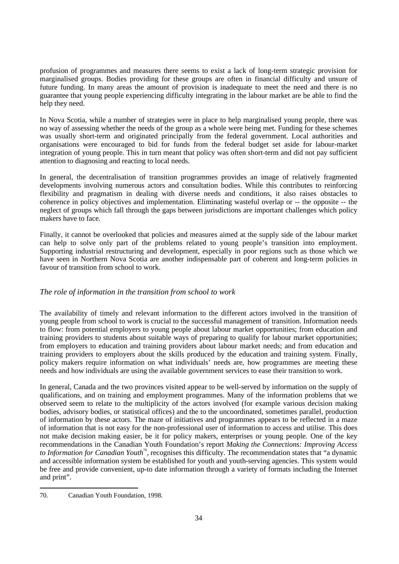profusion of programmes and measures there seems to exist a lack of long-term strategic provision for marginalised groups. Bodies providing for these groups are often in financial difficulty and unsure of future funding. In many areas the amount of provision is inadequate to meet the need and there is no guarantee that young people experiencing difficulty integrating in the labour market are be able to find the help they need.

In Nova Scotia, while a number of strategies were in place to help marginalised young people, there was no way of assessing whether the needs of the group as a whole were being met. Funding for these schemes was usually short-term and originated principally from the federal government. Local authorities and organisations were encouraged to bid for funds from the federal budget set aside for labour-market integration of young people. This in turn meant that policy was often short-term and did not pay sufficient attention to diagnosing and reacting to local needs.

In general, the decentralisation of transition programmes provides an image of relatively fragmented developments involving numerous actors and consultation bodies. While this contributes to reinforcing flexibility and pragmatism in dealing with diverse needs and conditions, it also raises obstacles to coherence in policy objectives and implementation. Eliminating wasteful overlap or -- the opposite -- the neglect of groups which fall through the gaps between jurisdictions are important challenges which policy makers have to face.

Finally, it cannot be overlooked that policies and measures aimed at the supply side of the labour market can help to solve only part of the problems related to young people's transition into employment. Supporting industrial restructuring and development, especially in poor regions such as those which we have seen in Northern Nova Scotia are another indispensable part of coherent and long-term policies in favour of transition from school to work.

# *The role of information in the transition from school to work*

The availability of timely and relevant information to the different actors involved in the transition of young people from school to work is crucial to the successful management of transition. Information needs to flow: from potential employers to young people about labour market opportunities; from education and training providers to students about suitable ways of preparing to qualify for labour market opportunities; from employers to education and training providers about labour market needs; and from education and training providers to employers about the skills produced by the education and training system. Finally, policy makers require information on what individuals' needs are, how programmes are meeting these needs and how individuals are using the available government services to ease their transition to work.

In general, Canada and the two provinces visited appear to be well-served by information on the supply of qualifications, and on training and employment programmes. Many of the information problems that we observed seem to relate to the multiplicity of the actors involved (for example various decision making bodies, advisory bodies, or statistical offices) and the to the uncoordinated, sometimes parallel, production of information by these actors. The maze of initiatives and programmes appears to be reflected in a maze of information that is not easy for the non-professional user of information to access and utilise. This does not make decision making easier, be it for policy makers, enterprises or young people. One of the key recommendations in the Canadian Youth Foundation's report *Making the Connections: Improving Access to Information for Canadian Youth*<sup>70</sup>, recognises this difficulty. The recommendation states that "a dynamic and accessible information system be established for youth and youth-serving agencies. This system would be free and provide convenient, up-to date information through a variety of formats including the Internet and print".

<sup>70.</sup> Canadian Youth Foundation, 1998.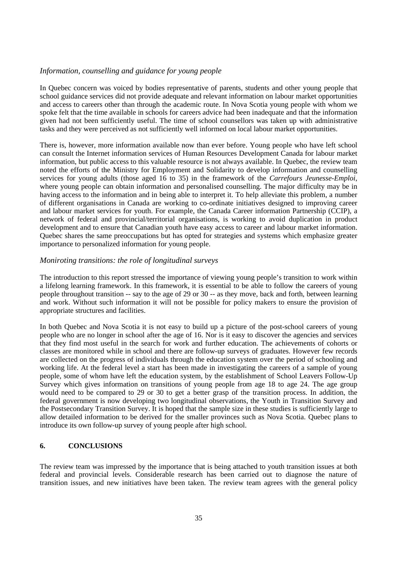## *Information, counselling and guidance for young people*

In Quebec concern was voiced by bodies representative of parents, students and other young people that school guidance services did not provide adequate and relevant information on labour market opportunities and access to careers other than through the academic route. In Nova Scotia young people with whom we spoke felt that the time available in schools for careers advice had been inadequate and that the information given had not been sufficiently useful. The time of school counsellors was taken up with administrative tasks and they were perceived as not sufficiently well informed on local labour market opportunities.

There is, however, more information available now than ever before. Young people who have left school can consult the Internet information services of Human Resources Development Canada for labour market information, but public access to this valuable resource is not always available. In Quebec, the review team noted the efforts of the Ministry for Employment and Solidarity to develop information and counselling services for young adults (those aged 16 to 35) in the framework of the *Carrefours Jeunesse-Emploi*, where young people can obtain information and personalised counselling. The major difficulty may be in having access to the information and in being able to interpret it. To help alleviate this problem, a number of different organisations in Canada are working to co-ordinate initiatives designed to improving career and labour market services for youth. For example, the Canada Career information Partnership (CCIP), a network of federal and provincial/territorial organisations, is working to avoid duplication in product development and to ensure that Canadian youth have easy access to career and labour market information. Quebec shares the same preoccupations but has opted for strategies and systems which emphasize greater importance to personalized information for young people.

# *Moniroting transitions: the role of longitudinal surveys*

The introduction to this report stressed the importance of viewing young people's transition to work within a lifelong learning framework. In this framework, it is essential to be able to follow the careers of young people throughout transition -- say to the age of 29 or 30 -- as they move, back and forth, between learning and work. Without such information it will not be possible for policy makers to ensure the provision of appropriate structures and facilities.

In both Quebec and Nova Scotia it is not easy to build up a picture of the post-school careers of young people who are no longer in school after the age of 16. Nor is it easy to discover the agencies and services that they find most useful in the search for work and further education. The achievements of cohorts or classes are monitored while in school and there are follow-up surveys of graduates. However few records are collected on the progress of individuals through the education system over the period of schooling and working life. At the federal level a start has been made in investigating the careers of a sample of young people, some of whom have left the education system, by the establishment of School Leavers Follow-Up Survey which gives information on transitions of young people from age 18 to age 24. The age group would need to be compared to 29 or 30 to get a better grasp of the transition process. In addition, the federal government is now developing two longitudinal observations, the Youth in Transition Survey and the Postsecondary Transition Survey. It is hoped that the sample size in these studies is sufficiently large to allow detailed information to be derived for the smaller provinces such as Nova Scotia. Quebec plans to introduce its own follow-up survey of young people after high school.

## **6. CONCLUSIONS**

The review team was impressed by the importance that is being attached to youth transition issues at both federal and provincial levels. Considerable research has been carried out to diagnose the nature of transition issues, and new initiatives have been taken. The review team agrees with the general policy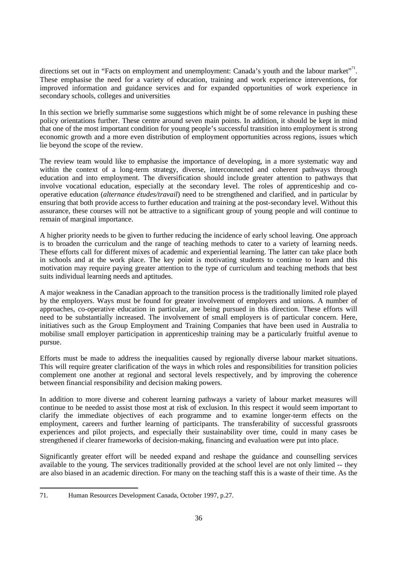directions set out in "Facts on employment and unemployment: Canada's youth and the labour market". These emphasise the need for a variety of education, training and work experience interventions, for improved information and guidance services and for expanded opportunities of work experience in secondary schools, colleges and universities

In this section we briefly summarise some suggestions which might be of some relevance in pushing these policy orientations further. These centre around seven main points. In addition, it should be kept in mind that one of the most important condition for young people's successful transition into employment is strong economic growth and a more even distribution of employment opportunities across regions, issues which lie beyond the scope of the review.

The review team would like to emphasise the importance of developing, in a more systematic way and within the context of a long-term strategy, diverse, interconnected and coherent pathways through education and into employment. The diversification should include greater attention to pathways that involve vocational education, especially at the secondary level. The roles of apprenticeship and cooperative education (*alternance études/travail*) need to be strengthened and clarified, and in particular by ensuring that both provide access to further education and training at the post-secondary level. Without this assurance, these courses will not be attractive to a significant group of young people and will continue to remain of marginal importance.

A higher priority needs to be given to further reducing the incidence of early school leaving. One approach is to broaden the curriculum and the range of teaching methods to cater to a variety of learning needs. These efforts call for different mixes of academic and experiential learning. The latter can take place both in schools and at the work place. The key point is motivating students to continue to learn and this motivation may require paying greater attention to the type of curriculum and teaching methods that best suits individual learning needs and aptitudes.

A major weakness in the Canadian approach to the transition process is the traditionally limited role played by the employers. Ways must be found for greater involvement of employers and unions. A number of approaches, co-operative education in particular, are being pursued in this direction. These efforts will need to be substantially increased. The involvement of small employers is of particular concern. Here, initiatives such as the Group Employment and Training Companies that have been used in Australia to mobilise small employer participation in apprenticeship training may be a particularly fruitful avenue to pursue.

Efforts must be made to address the inequalities caused by regionally diverse labour market situations. This will require greater clarification of the ways in which roles and responsibilities for transition policies complement one another at regional and sectoral levels respectively, and by improving the coherence between financial responsibility and decision making powers.

In addition to more diverse and coherent learning pathways a variety of labour market measures will continue to be needed to assist those most at risk of exclusion. In this respect it would seem important to clarify the immediate objectives of each programme and to examine longer-term effects on the employment, careers and further learning of participants. The transferability of successful grassroots experiences and pilot projects, and especially their sustainability over time, could in many cases be strengthened if clearer frameworks of decision-making, financing and evaluation were put into place.

Significantly greater effort will be needed expand and reshape the guidance and counselling services available to the young. The services traditionally provided at the school level are not only limited -- they are also biased in an academic direction. For many on the teaching staff this is a waste of their time. As the

<sup>71.</sup> Human Resources Development Canada, October 1997, p.27.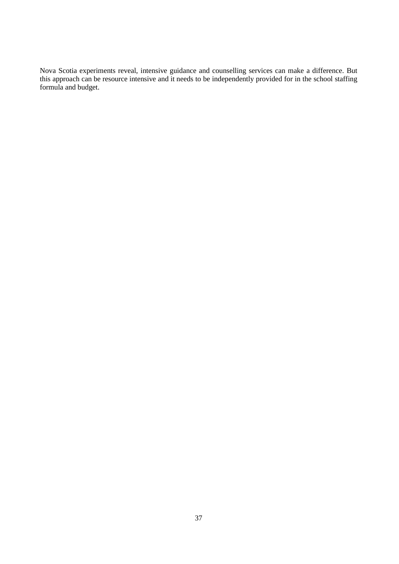Nova Scotia experiments reveal, intensive guidance and counselling services can make a difference. But this approach can be resource intensive and it needs to be independently provided for in the school staffing formula and budget.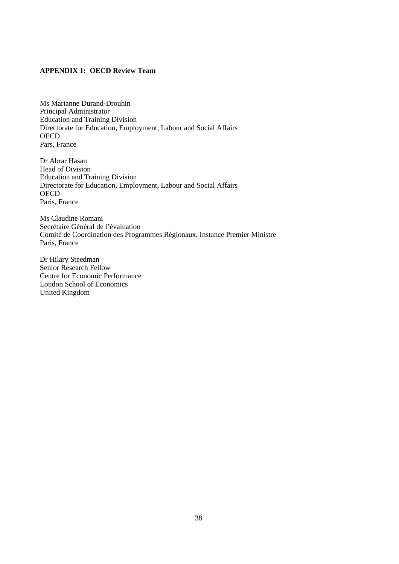## **APPENDIX 1: OECD Review Team**

Ms Marianne Durand-Drouhin Principal Administrator Education and Training Division Directorate for Education, Employment, Labour and Social Affairs **OECD** Pars, France

Dr Abrar Hasan Head of Division Education and Training Division Directorate for Education, Employment, Labour and Social Affairs **OECD** Paris, France

Ms Claudine Romani Secrétaire Général de l'évaluation Comité de Coordination des Programmes Régionaux, Instance Premier Ministre Paris, France

Dr Hilary Steedman Senior Research Fellow Centre for Economic Performance London School of Economics United Kingdom